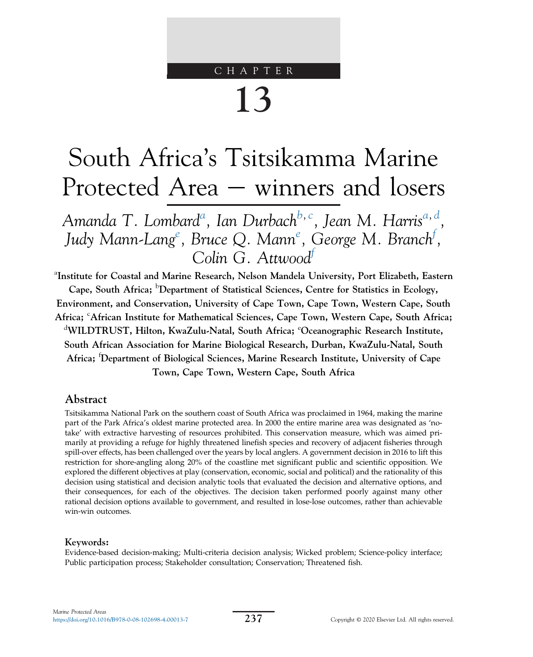# CHAPTER

13

# South Africa's Tsitsikamma Marine Protected Area  $-$  winners and losers

Amanda T. Lombard<sup>a</sup>, Ian Durbach<sup>b, c</sup>, Jean M. Harris<sup>a, d</sup>., Judy Mann-Lang<sup>e</sup>, Bruce Q. Mann<sup>e</sup>, George M. Branch<sup>f</sup>, Colin G. Attwood

a Institute for Coastal and Marine Research, Nelson Mandela University, Port Elizabeth, Eastern Cape, South Africa; <sup>b</sup>Department of Statistical Sciences, Centre for Statistics in Ecology, Environment, and Conservation, University of Cape Town, Cape Town, Western Cape, South Africa; <sup>c</sup>African Institute for Mathematical Sciences, Cape Town, Western Cape, South Africa; dWILDTRUST, Hilton, KwaZulu-Natal, South Africa; <sup>e</sup>Oceanographic Research Institute, South African Association for Marine Biological Research, Durban, KwaZulu-Natal, South Africa; <sup>f</sup>Department of Biological Sciences, Marine Research Institute, University of Cape Town, Cape Town, Western Cape, South Africa

# Abstract

Tsitsikamma National Park on the southern coast of South Africa was proclaimed in 1964, making the marine part of the Park Africa's oldest marine protected area. In 2000 the entire marine area was designated as 'notake' with extractive harvesting of resources prohibited. This conservation measure, which was aimed primarily at providing a refuge for highly threatened linefish species and recovery of adjacent fisheries through spill-over effects, has been challenged over the years by local anglers. A government decision in 2016 to lift this restriction for shore-angling along 20% of the coastline met significant public and scientific opposition. We explored the different objectives at play (conservation, economic, social and political) and the rationality of this decision using statistical and decision analytic tools that evaluated the decision and alternative options, and their consequences, for each of the objectives. The decision taken performed poorly against many other rational decision options available to government, and resulted in lose-lose outcomes, rather than achievable win-win outcomes.

#### Keywords:

Evidence-based decision-making; Multi-criteria decision analysis; Wicked problem; Science-policy interface; Public participation process; Stakeholder consultation; Conservation; Threatened fish.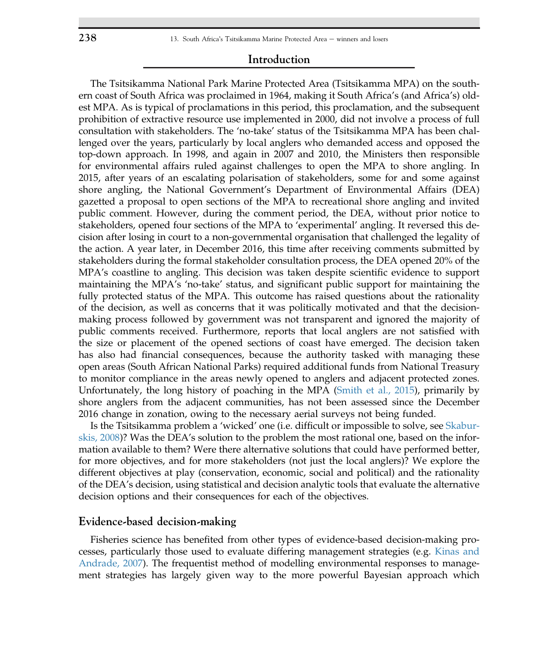# Introduction

The Tsitsikamma National Park Marine Protected Area (Tsitsikamma MPA) on the southern coast of South Africa was proclaimed in 1964, making it South Africa's (and Africa's) oldest MPA. As is typical of proclamations in this period, this proclamation, and the subsequent prohibition of extractive resource use implemented in 2000, did not involve a process of full consultation with stakeholders. The 'no-take' status of the Tsitsikamma MPA has been challenged over the years, particularly by local anglers who demanded access and opposed the top-down approach. In 1998, and again in 2007 and 2010, the Ministers then responsible for environmental affairs ruled against challenges to open the MPA to shore angling. In 2015, after years of an escalating polarisation of stakeholders, some for and some against shore angling, the National Government's Department of Environmental Affairs (DEA) gazetted a proposal to open sections of the MPA to recreational shore angling and invited public comment. However, during the comment period, the DEA, without prior notice to stakeholders, opened four sections of the MPA to 'experimental' angling. It reversed this decision after losing in court to a non-governmental organisation that challenged the legality of the action. A year later, in December 2016, this time after receiving comments submitted by stakeholders during the formal stakeholder consultation process, the DEA opened 20% of the MPA's coastline to angling. This decision was taken despite scientific evidence to support maintaining the MPA's 'no-take' status, and significant public support for maintaining the fully protected status of the MPA. This outcome has raised questions about the rationality of the decision, as well as concerns that it was politically motivated and that the decisionmaking process followed by government was not transparent and ignored the majority of public comments received. Furthermore, reports that local anglers are not satisfied with the size or placement of the opened sections of coast have emerged. The decision taken has also had financial consequences, because the authority tasked with managing these open areas (South African National Parks) required additional funds from National Treasury to monitor compliance in the areas newly opened to anglers and adjacent protected zones. Unfortunately, the long history of poaching in the MPA ([Smith et al., 2015](#page-23-0)), primarily by shore anglers from the adjacent communities, has not been assessed since the December 2016 change in zonation, owing to the necessary aerial surveys not being funded.

Is the Tsitsikamma problem a 'wicked' one (i.e. difficult or impossible to solve, see [Skabur](#page-23-0)[skis, 2008](#page-23-0))? Was the DEA's solution to the problem the most rational one, based on the information available to them? Were there alternative solutions that could have performed better, for more objectives, and for more stakeholders (not just the local anglers)? We explore the different objectives at play (conservation, economic, social and political) and the rationality of the DEA's decision, using statistical and decision analytic tools that evaluate the alternative decision options and their consequences for each of the objectives.

### Evidence-based decision-making

Fisheries science has benefited from other types of evidence-based decision-making processes, particularly those used to evaluate differing management strategies (e.g. [Kinas and](#page-23-0) [Andrade, 2007\)](#page-23-0). The frequentist method of modelling environmental responses to management strategies has largely given way to the more powerful Bayesian approach which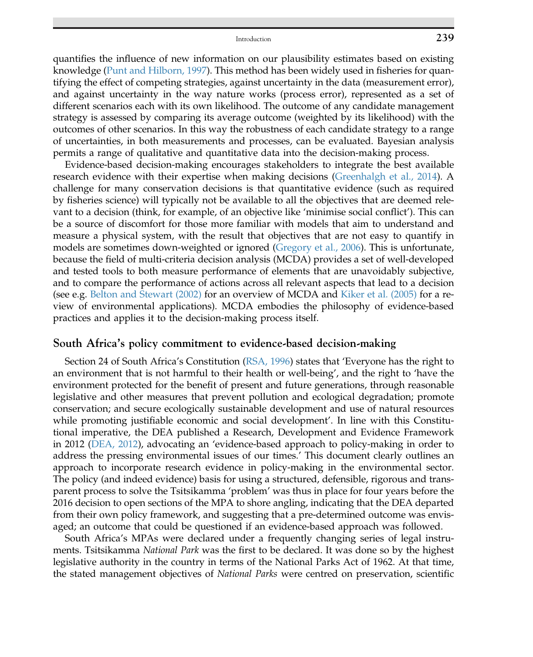#### Introduction 239

quantifies the influence of new information on our plausibility estimates based on existing knowledge [\(Punt and Hilborn, 1997](#page-23-0)). This method has been widely used in fisheries for quantifying the effect of competing strategies, against uncertainty in the data (measurement error), and against uncertainty in the way nature works (process error), represented as a set of different scenarios each with its own likelihood. The outcome of any candidate management strategy is assessed by comparing its average outcome (weighted by its likelihood) with the outcomes of other scenarios. In this way the robustness of each candidate strategy to a range of uncertainties, in both measurements and processes, can be evaluated. Bayesian analysis permits a range of qualitative and quantitative data into the decision-making process.

Evidence-based decision-making encourages stakeholders to integrate the best available research evidence with their expertise when making decisions ([Greenhalgh et al., 2014](#page-23-0)). A challenge for many conservation decisions is that quantitative evidence (such as required by fisheries science) will typically not be available to all the objectives that are deemed relevant to a decision (think, for example, of an objective like 'minimise social conflict'). This can be a source of discomfort for those more familiar with models that aim to understand and measure a physical system, with the result that objectives that are not easy to quantify in models are sometimes down-weighted or ignored ([Gregory et al., 2006\)](#page-23-0). This is unfortunate, because the field of multi-criteria decision analysis (MCDA) provides a set of well-developed and tested tools to both measure performance of elements that are unavoidably subjective, and to compare the performance of actions across all relevant aspects that lead to a decision (see e.g. [Belton and Stewart \(2002\)](#page-22-0) for an overview of MCDA and [Kiker et al. \(2005\)](#page-23-0) for a review of environmental applications). MCDA embodies the philosophy of evidence-based practices and applies it to the decision-making process itself.

#### South Africa's policy commitment to evidence-based decision-making

Section 24 of South Africa's Constitution [\(RSA, 1996](#page-23-0)) states that 'Everyone has the right to an environment that is not harmful to their health or well-being', and the right to 'have the environment protected for the benefit of present and future generations, through reasonable legislative and other measures that prevent pollution and ecological degradation; promote conservation; and secure ecologically sustainable development and use of natural resources while promoting justifiable economic and social development'. In line with this Constitutional imperative, the DEA published a Research, Development and Evidence Framework in 2012 [\(DEA, 2012\)](#page-22-0), advocating an 'evidence-based approach to policy-making in order to address the pressing environmental issues of our times.' This document clearly outlines an approach to incorporate research evidence in policy-making in the environmental sector. The policy (and indeed evidence) basis for using a structured, defensible, rigorous and transparent process to solve the Tsitsikamma 'problem' was thus in place for four years before the 2016 decision to open sections of the MPA to shore angling, indicating that the DEA departed from their own policy framework, and suggesting that a pre-determined outcome was envisaged; an outcome that could be questioned if an evidence-based approach was followed.

South Africa's MPAs were declared under a frequently changing series of legal instruments. Tsitsikamma *National Park* was the first to be declared. It was done so by the highest legislative authority in the country in terms of the National Parks Act of 1962. At that time, the stated management objectives of *National Parks* were centred on preservation, scientific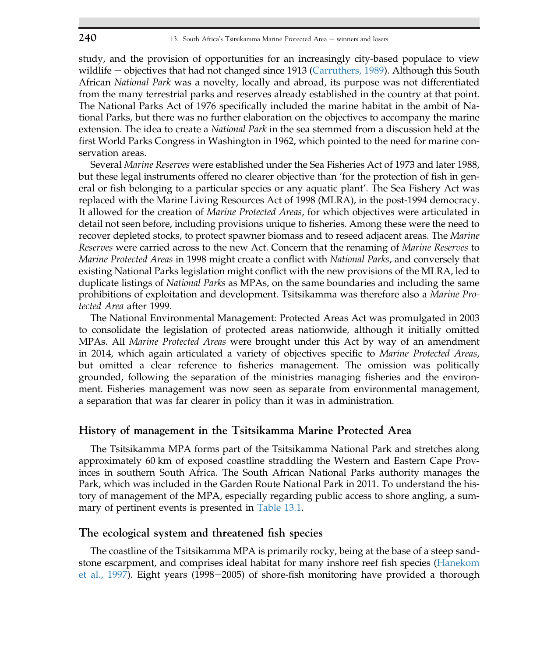study, and the provision of opportunities for an increasingly city-based populace to view wildlife – objectives that had not changed since 1913 ([Carruthers, 1989](#page-22-0)). Although this South African National Park was a novelty, locally and abroad, its purpose was not differentiated from the many terrestrial parks and reserves already established in the country at that point. The National Parks Act of 1976 specifically included the marine habitat in the ambit of National Parks, but there was no further elaboration on the objectives to accompany the marine extension. The idea to create a *National Park* in the sea stemmed from a discussion held at the first World Parks Congress in Washington in 1962, which pointed to the need for marine conservation areas.

Several Marine Reserves were established under the Sea Fisheries Act of 1973 and later 1988, but these legal instruments offered no clearer objective than 'for the protection of fish in general or fish belonging to a particular species or any aquatic plant'. The Sea Fishery Act was replaced with the Marine Living Resources Act of 1998 (MLRA), in the post-1994 democracy. It allowed for the creation of Marine Protected Areas, for which objectives were articulated in detail not seen before, including provisions unique to fisheries. Among these were the need to recover depleted stocks, to protect spawner biomass and to reseed adjacent areas. The Marine Reserves were carried across to the new Act. Concern that the renaming of *Marine Reserves* to *Marine Protected Areas* in 1998 might create a conflict with *National Parks*, and conversely that existing National Parks legislation might conflict with the new provisions of the MLRA, led to duplicate listings of National Parks as MPAs, on the same boundaries and including the same prohibitions of exploitation and development. Tsitsikamma was therefore also a Marine Protected Area after 1999.

The National Environmental Management: Protected Areas Act was promulgated in 2003 to consolidate the legislation of protected areas nationwide, although it initially omitted MPAs. All Marine Protected Areas were brought under this Act by way of an amendment in 2014, which again articulated a variety of objectives specific to Marine Protected Areas, but omitted a clear reference to fisheries management. The omission was politically grounded, following the separation of the ministries managing fisheries and the environment. Fisheries management was now seen as separate from environmental management, a separation that was far clearer in policy than it was in administration.

# History of management in the Tsitsikamma Marine Protected Area

The Tsitsikamma MPA forms part of the Tsitsikamma National Park and stretches along approximately 60 km of exposed coastline straddling the Western and Eastern Cape Provinces in southern South Africa. The South African National Parks authority manages the Park, which was included in the Garden Route National Park in 2011. To understand the history of management of the MPA, especially regarding public access to shore angling, a summary of pertinent events is presented in [Table 13.1.](#page-4-0)

# The ecological system and threatened fish species

The coastline of the Tsitsikamma MPA is primarily rocky, being at the base of a steep sandstone escarpment, and comprises ideal habitat for many inshore reef fish species ([Hanekom](#page-23-0) [et al., 1997](#page-23-0)). Eight years  $(1998-2005)$  of shore-fish monitoring have provided a thorough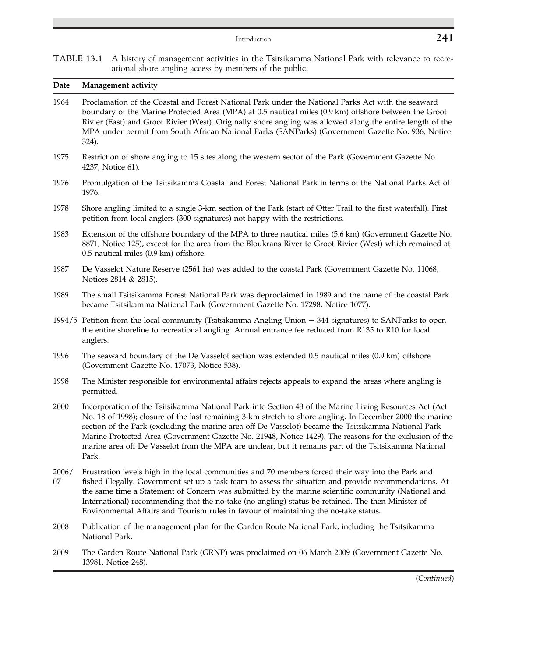<span id="page-4-0"></span>TABLE 13.1 A history of management activities in the Tsitsikamma National Park with relevance to recreational shore angling access by members of the public.

| Date        | Management activity                                                                                                                                                                                                                                                                                                                                                                                                                                                                                                                                      |
|-------------|----------------------------------------------------------------------------------------------------------------------------------------------------------------------------------------------------------------------------------------------------------------------------------------------------------------------------------------------------------------------------------------------------------------------------------------------------------------------------------------------------------------------------------------------------------|
| 1964        | Proclamation of the Coastal and Forest National Park under the National Parks Act with the seaward<br>boundary of the Marine Protected Area (MPA) at 0.5 nautical miles (0.9 km) offshore between the Groot<br>Rivier (East) and Groot Rivier (West). Originally shore angling was allowed along the entire length of the<br>MPA under permit from South African National Parks (SANParks) (Government Gazette No. 936; Notice<br>324).                                                                                                                  |
| 1975        | Restriction of shore angling to 15 sites along the western sector of the Park (Government Gazette No.<br>4237, Notice 61).                                                                                                                                                                                                                                                                                                                                                                                                                               |
| 1976        | Promulgation of the Tsitsikamma Coastal and Forest National Park in terms of the National Parks Act of<br>1976.                                                                                                                                                                                                                                                                                                                                                                                                                                          |
| 1978        | Shore angling limited to a single 3-km section of the Park (start of Otter Trail to the first waterfall). First<br>petition from local anglers (300 signatures) not happy with the restrictions.                                                                                                                                                                                                                                                                                                                                                         |
| 1983        | Extension of the offshore boundary of the MPA to three nautical miles (5.6 km) (Government Gazette No.<br>8871, Notice 125), except for the area from the Bloukrans River to Groot Rivier (West) which remained at<br>0.5 nautical miles (0.9 km) offshore.                                                                                                                                                                                                                                                                                              |
| 1987        | De Vasselot Nature Reserve (2561 ha) was added to the coastal Park (Government Gazette No. 11068,<br>Notices 2814 & 2815).                                                                                                                                                                                                                                                                                                                                                                                                                               |
| 1989        | The small Tsitsikamma Forest National Park was deproclaimed in 1989 and the name of the coastal Park<br>became Tsitsikamma National Park (Government Gazette No. 17298, Notice 1077).                                                                                                                                                                                                                                                                                                                                                                    |
|             | $1994/5$ Petition from the local community (Tsitsikamma Angling Union $-344$ signatures) to SANParks to open<br>the entire shoreline to recreational angling. Annual entrance fee reduced from R135 to R10 for local<br>anglers.                                                                                                                                                                                                                                                                                                                         |
| 1996        | The seaward boundary of the De Vasselot section was extended 0.5 nautical miles (0.9 km) offshore<br>(Government Gazette No. 17073, Notice 538).                                                                                                                                                                                                                                                                                                                                                                                                         |
| 1998        | The Minister responsible for environmental affairs rejects appeals to expand the areas where angling is<br>permitted.                                                                                                                                                                                                                                                                                                                                                                                                                                    |
| 2000        | Incorporation of the Tsitsikamma National Park into Section 43 of the Marine Living Resources Act (Act<br>No. 18 of 1998); closure of the last remaining 3-km stretch to shore angling. In December 2000 the marine<br>section of the Park (excluding the marine area off De Vasselot) became the Tsitsikamma National Park<br>Marine Protected Area (Government Gazette No. 21948, Notice 1429). The reasons for the exclusion of the<br>marine area off De Vasselot from the MPA are unclear, but it remains part of the Tsitsikamma National<br>Park. |
| 2006/<br>07 | Frustration levels high in the local communities and 70 members forced their way into the Park and<br>fished illegally. Government set up a task team to assess the situation and provide recommendations. At<br>the same time a Statement of Concern was submitted by the marine scientific community (National and<br>International) recommending that the no-take (no angling) status be retained. The then Minister of<br>Environmental Affairs and Tourism rules in favour of maintaining the no-take status.                                       |
| 2008        | Publication of the management plan for the Garden Route National Park, including the Tsitsikamma<br>National Park.                                                                                                                                                                                                                                                                                                                                                                                                                                       |
| 0000        | $T1 \cap 1 \cap 1$ $N$ $U$ $1 \cap 1$ $(CDM)$ $1'$ $1'$ $1'$ $0(2M)$ $1 \cap (00)$ $(C)$                                                                                                                                                                                                                                                                                                                                                                                                                                                                 |

2009 The Garden Route National Park (GRNP) was proclaimed on 06 March 2009 (Government Gazette No. 13981, Notice 248).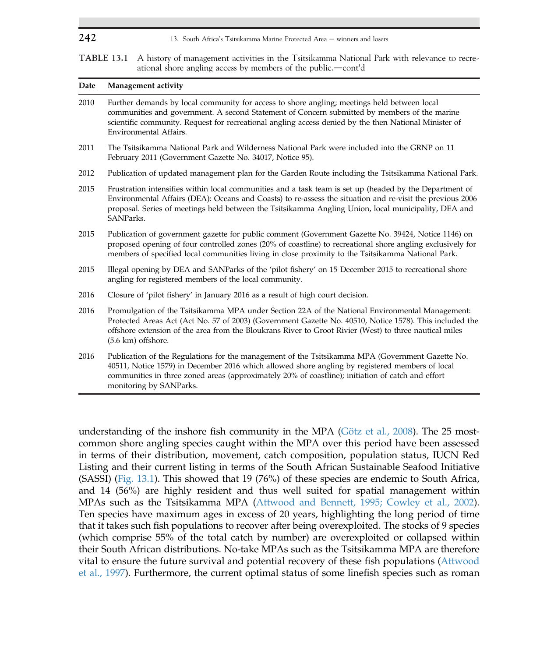TABLE 13.1 A history of management activities in the Tsitsikamma National Park with relevance to recreational shore angling access by members of the public.-cont'd

| Date | Management activity                                                                                                                                                                                                                                                                                                                                  |
|------|------------------------------------------------------------------------------------------------------------------------------------------------------------------------------------------------------------------------------------------------------------------------------------------------------------------------------------------------------|
| 2010 | Further demands by local community for access to shore angling; meetings held between local<br>communities and government. A second Statement of Concern submitted by members of the marine<br>scientific community. Request for recreational angling access denied by the then National Minister of<br>Environmental Affairs.                       |
| 2011 | The Tsitsikamma National Park and Wilderness National Park were included into the GRNP on 11<br>February 2011 (Government Gazette No. 34017, Notice 95).                                                                                                                                                                                             |
| 2012 | Publication of updated management plan for the Garden Route including the Tsitsikamma National Park.                                                                                                                                                                                                                                                 |
| 2015 | Frustration intensifies within local communities and a task team is set up (headed by the Department of<br>Environmental Affairs (DEA): Oceans and Coasts) to re-assess the situation and re-visit the previous 2006<br>proposal. Series of meetings held between the Tsitsikamma Angling Union, local municipality, DEA and<br>SANParks.            |
| 2015 | Publication of government gazette for public comment (Government Gazette No. 39424, Notice 1146) on<br>proposed opening of four controlled zones (20% of coastline) to recreational shore angling exclusively for<br>members of specified local communities living in close proximity to the Tsitsikamma National Park.                              |
| 2015 | Illegal opening by DEA and SANParks of the 'pilot fishery' on 15 December 2015 to recreational shore<br>angling for registered members of the local community.                                                                                                                                                                                       |
| 2016 | Closure of 'pilot fishery' in January 2016 as a result of high court decision.                                                                                                                                                                                                                                                                       |
| 2016 | Promulgation of the Tsitsikamma MPA under Section 22A of the National Environmental Management:<br>Protected Areas Act (Act No. 57 of 2003) (Government Gazette No. 40510, Notice 1578). This included the<br>offshore extension of the area from the Bloukrans River to Groot Rivier (West) to three nautical miles<br>$(5.6 \text{ km})$ offshore. |
| 2016 | Publication of the Regulations for the management of the Tsitsikamma MPA (Government Gazette No.<br>40511, Notice 1579) in December 2016 which allowed shore angling by registered members of local<br>communities in three zoned areas (approximately 20% of coastline); initiation of catch and effort<br>monitoring by SANParks.                  |

understanding of the inshore fish community in the MPA ([Götz et al., 2008](#page-22-0)). The 25 mostcommon shore angling species caught within the MPA over this period have been assessed in terms of their distribution, movement, catch composition, population status, IUCN Red Listing and their current listing in terms of the South African Sustainable Seafood Initiative (SASSI) [\(Fig. 13.1](#page-6-0)). This showed that 19 (76%) of these species are endemic to South Africa, and 14 (56%) are highly resident and thus well suited for spatial management within MPAs such as the Tsitsikamma MPA ([Attwood and Bennett, 1995; Cowley et al., 2002](#page-22-0)). Ten species have maximum ages in excess of 20 years, highlighting the long period of time that it takes such fish populations to recover after being overexploited. The stocks of 9 species (which comprise 55% of the total catch by number) are overexploited or collapsed within their South African distributions. No-take MPAs such as the Tsitsikamma MPA are therefore vital to ensure the future survival and potential recovery of these fish populations ([Attwood](#page-22-0) [et al., 1997\)](#page-22-0). Furthermore, the current optimal status of some linefish species such as roman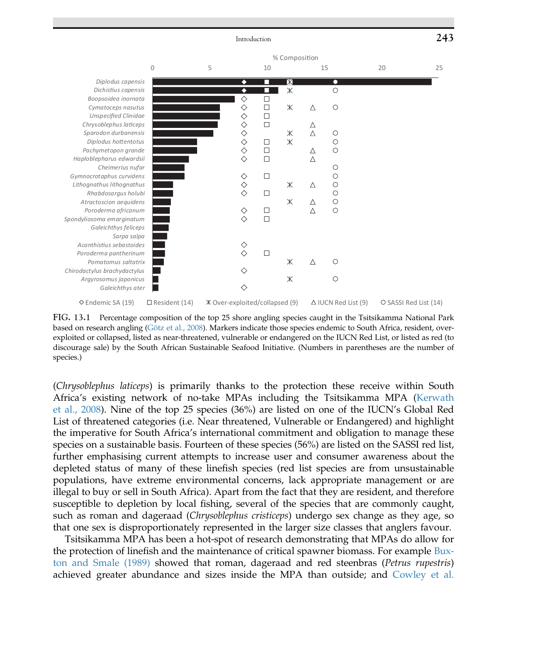<span id="page-6-0"></span>

FIG. 13.1 Percentage composition of the top 25 shore angling species caught in the Tsitsikamma National Park based on research angling ([Götz et al., 2008\)](#page-22-0). Markers indicate those species endemic to South Africa, resident, overexploited or collapsed, listed as near-threatened, vulnerable or endangered on the IUCN Red List, or listed as red (to discourage sale) by the South African Sustainable Seafood Initiative. (Numbers in parentheses are the number of species.)

(Chrysoblephus laticeps) is primarily thanks to the protection these receive within South Africa's existing network of no-take MPAs including the Tsitsikamma MPA [\(Kerwath](#page-23-0) [et al., 2008](#page-23-0)). Nine of the top 25 species (36%) are listed on one of the IUCN's Global Red List of threatened categories (i.e. Near threatened, Vulnerable or Endangered) and highlight the imperative for South Africa's international commitment and obligation to manage these species on a sustainable basis. Fourteen of these species (56%) are listed on the SASSI red list, further emphasising current attempts to increase user and consumer awareness about the depleted status of many of these linefish species (red list species are from unsustainable populations, have extreme environmental concerns, lack appropriate management or are illegal to buy or sell in South Africa). Apart from the fact that they are resident, and therefore susceptible to depletion by local fishing, several of the species that are commonly caught, such as roman and dageraad (Chrysoblephus cristiceps) undergo sex change as they age, so that one sex is disproportionately represented in the larger size classes that anglers favour.

Tsitsikamma MPA has been a hot-spot of research demonstrating that MPAs do allow for the protection of linefish and the maintenance of critical spawner biomass. For example [Bux](#page-22-0)[ton and Smale \(1989\)](#page-22-0) showed that roman, dageraad and red steenbras (Petrus rupestris) achieved greater abundance and sizes inside the MPA than outside; and [Cowley et al.](#page-22-0)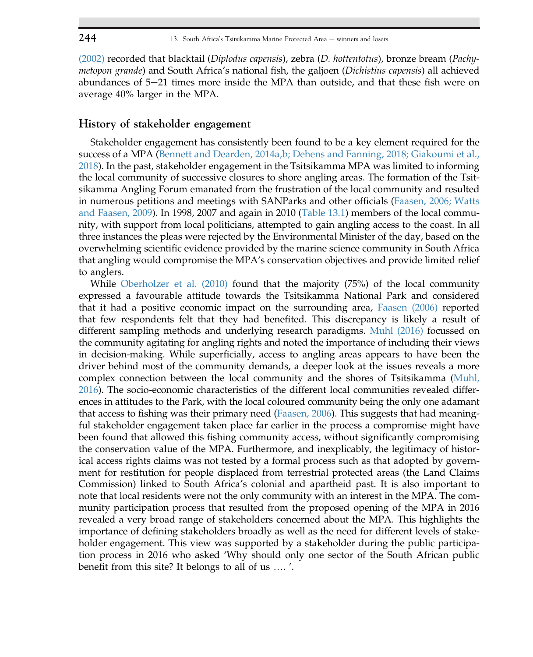[\(2002\)](#page-22-0) recorded that blacktail (Diplodus capensis), zebra (D. hottentotus), bronze bream (Pachymetopon grande) and South Africa's national fish, the galjoen (Dichistius capensis) all achieved abundances of  $5-21$  times more inside the MPA than outside, and that these fish were on average 40% larger in the MPA.

### History of stakeholder engagement

Stakeholder engagement has consistently been found to be a key element required for the success of a MPA [\(Bennett and Dearden, 2014a,b; Dehens and Fanning, 2018; Giakoumi et al.,](#page-22-0) [2018\)](#page-22-0). In the past, stakeholder engagement in the Tsitsikamma MPA was limited to informing the local community of successive closures to shore angling areas. The formation of the Tsitsikamma Angling Forum emanated from the frustration of the local community and resulted in numerous petitions and meetings with SANParks and other officials ([Faasen, 2006; Watts](#page-22-0) [and Faasen, 2009](#page-22-0)). In 1998, 2007 and again in 2010 ([Table 13.1](#page-4-0)) members of the local community, with support from local politicians, attempted to gain angling access to the coast. In all three instances the pleas were rejected by the Environmental Minister of the day, based on the overwhelming scientific evidence provided by the marine science community in South Africa that angling would compromise the MPA's conservation objectives and provide limited relief to anglers.

While [Oberholzer et al. \(2010\)](#page-23-0) found that the majority (75%) of the local community expressed a favourable attitude towards the Tsitsikamma National Park and considered that it had a positive economic impact on the surrounding area, [Faasen \(2006\)](#page-22-0) reported that few respondents felt that they had benefited. This discrepancy is likely a result of different sampling methods and underlying research paradigms. [Muhl \(2016\)](#page-23-0) focussed on the community agitating for angling rights and noted the importance of including their views in decision-making. While superficially, access to angling areas appears to have been the driver behind most of the community demands, a deeper look at the issues reveals a more complex connection between the local community and the shores of Tsitsikamma ([Muhl,](#page-23-0) [2016\)](#page-23-0). The socio-economic characteristics of the different local communities revealed differences in attitudes to the Park, with the local coloured community being the only one adamant that access to fishing was their primary need ([Faasen, 2006](#page-22-0)). This suggests that had meaningful stakeholder engagement taken place far earlier in the process a compromise might have been found that allowed this fishing community access, without significantly compromising the conservation value of the MPA. Furthermore, and inexplicably, the legitimacy of historical access rights claims was not tested by a formal process such as that adopted by government for restitution for people displaced from terrestrial protected areas (the Land Claims Commission) linked to South Africa's colonial and apartheid past. It is also important to note that local residents were not the only community with an interest in the MPA. The community participation process that resulted from the proposed opening of the MPA in 2016 revealed a very broad range of stakeholders concerned about the MPA. This highlights the importance of defining stakeholders broadly as well as the need for different levels of stakeholder engagement. This view was supported by a stakeholder during the public participation process in 2016 who asked 'Why should only one sector of the South African public benefit from this site? It belongs to all of us ....'.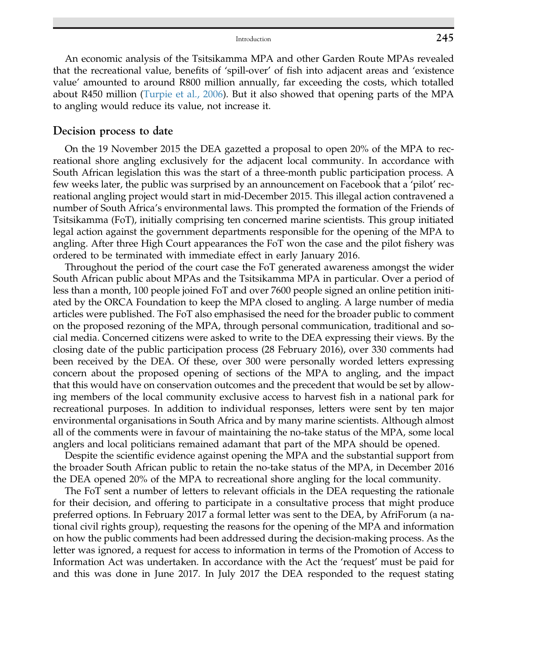An economic analysis of the Tsitsikamma MPA and other Garden Route MPAs revealed that the recreational value, benefits of 'spill-over' of fish into adjacent areas and 'existence value' amounted to around R800 million annually, far exceeding the costs, which totalled about R450 million [\(Turpie et al., 2006\)](#page-23-0). But it also showed that opening parts of the MPA to angling would reduce its value, not increase it.

#### Decision process to date

On the 19 November 2015 the DEA gazetted a proposal to open 20% of the MPA to recreational shore angling exclusively for the adjacent local community. In accordance with South African legislation this was the start of a three-month public participation process. A few weeks later, the public was surprised by an announcement on Facebook that a 'pilot' recreational angling project would start in mid-December 2015. This illegal action contravened a number of South Africa's environmental laws. This prompted the formation of the Friends of Tsitsikamma (FoT), initially comprising ten concerned marine scientists. This group initiated legal action against the government departments responsible for the opening of the MPA to angling. After three High Court appearances the FoT won the case and the pilot fishery was ordered to be terminated with immediate effect in early January 2016.

Throughout the period of the court case the FoT generated awareness amongst the wider South African public about MPAs and the Tsitsikamma MPA in particular. Over a period of less than a month, 100 people joined FoT and over 7600 people signed an online petition initiated by the ORCA Foundation to keep the MPA closed to angling. A large number of media articles were published. The FoT also emphasised the need for the broader public to comment on the proposed rezoning of the MPA, through personal communication, traditional and social media. Concerned citizens were asked to write to the DEA expressing their views. By the closing date of the public participation process (28 February 2016), over 330 comments had been received by the DEA. Of these, over 300 were personally worded letters expressing concern about the proposed opening of sections of the MPA to angling, and the impact that this would have on conservation outcomes and the precedent that would be set by allowing members of the local community exclusive access to harvest fish in a national park for recreational purposes. In addition to individual responses, letters were sent by ten major environmental organisations in South Africa and by many marine scientists. Although almost all of the comments were in favour of maintaining the no-take status of the MPA, some local anglers and local politicians remained adamant that part of the MPA should be opened.

Despite the scientific evidence against opening the MPA and the substantial support from the broader South African public to retain the no-take status of the MPA, in December 2016 the DEA opened 20% of the MPA to recreational shore angling for the local community.

The FoT sent a number of letters to relevant officials in the DEA requesting the rationale for their decision, and offering to participate in a consultative process that might produce preferred options. In February 2017 a formal letter was sent to the DEA, by AfriForum (a national civil rights group), requesting the reasons for the opening of the MPA and information on how the public comments had been addressed during the decision-making process. As the letter was ignored, a request for access to information in terms of the Promotion of Access to Information Act was undertaken. In accordance with the Act the 'request' must be paid for and this was done in June 2017. In July 2017 the DEA responded to the request stating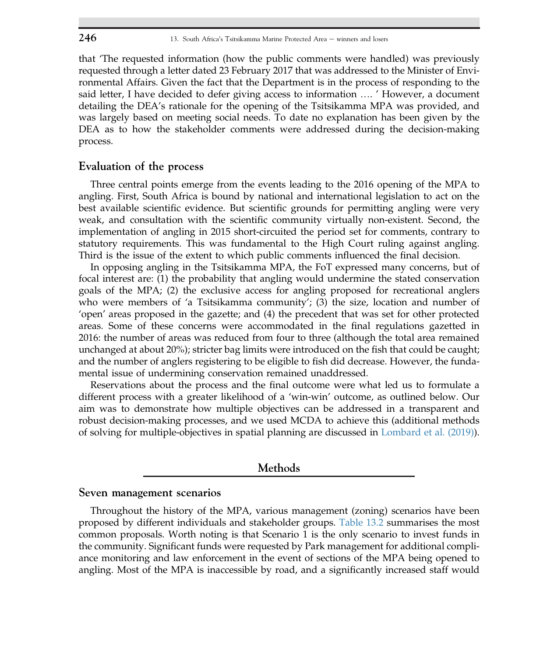that 'The requested information (how the public comments were handled) was previously requested through a letter dated 23 February 2017 that was addressed to the Minister of Environmental Affairs. Given the fact that the Department is in the process of responding to the said letter, I have decided to defer giving access to information .. ' However, a document detailing the DEA's rationale for the opening of the Tsitsikamma MPA was provided, and was largely based on meeting social needs. To date no explanation has been given by the DEA as to how the stakeholder comments were addressed during the decision-making process.

#### Evaluation of the process

Three central points emerge from the events leading to the 2016 opening of the MPA to angling. First, South Africa is bound by national and international legislation to act on the best available scientific evidence. But scientific grounds for permitting angling were very weak, and consultation with the scientific community virtually non-existent. Second, the implementation of angling in 2015 short-circuited the period set for comments, contrary to statutory requirements. This was fundamental to the High Court ruling against angling. Third is the issue of the extent to which public comments influenced the final decision.

In opposing angling in the Tsitsikamma MPA, the FoT expressed many concerns, but of focal interest are: (1) the probability that angling would undermine the stated conservation goals of the MPA; (2) the exclusive access for angling proposed for recreational anglers who were members of 'a Tsitsikamma community'; (3) the size, location and number of 'open' areas proposed in the gazette; and (4) the precedent that was set for other protected areas. Some of these concerns were accommodated in the final regulations gazetted in 2016: the number of areas was reduced from four to three (although the total area remained unchanged at about 20%); stricter bag limits were introduced on the fish that could be caught; and the number of anglers registering to be eligible to fish did decrease. However, the fundamental issue of undermining conservation remained unaddressed.

Reservations about the process and the final outcome were what led us to formulate a different process with a greater likelihood of a 'win-win' outcome, as outlined below. Our aim was to demonstrate how multiple objectives can be addressed in a transparent and robust decision-making processes, and we used MCDA to achieve this (additional methods of solving for multiple-objectives in spatial planning are discussed in [Lombard et al. \(2019\)](#page-23-0)).

#### Methods

#### Seven management scenarios

Throughout the history of the MPA, various management (zoning) scenarios have been proposed by different individuals and stakeholder groups. [Table 13.2](#page-10-0) summarises the most common proposals. Worth noting is that Scenario 1 is the only scenario to invest funds in the community. Significant funds were requested by Park management for additional compliance monitoring and law enforcement in the event of sections of the MPA being opened to angling. Most of the MPA is inaccessible by road, and a significantly increased staff would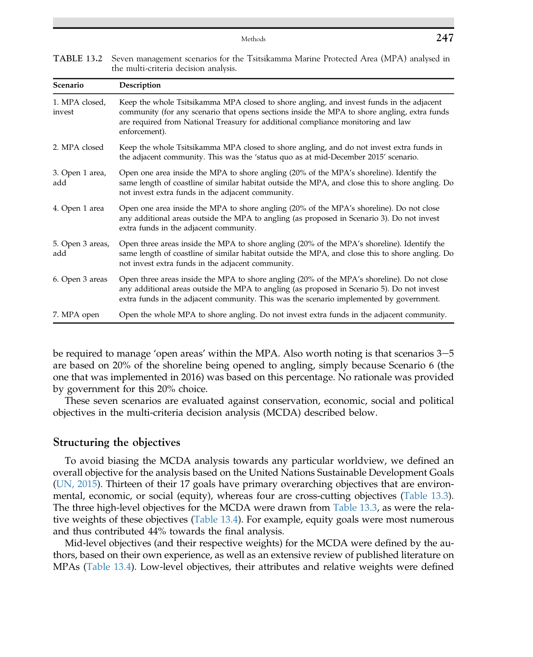| Scenario                 | Description                                                                                                                                                                                                                                                                                   |
|--------------------------|-----------------------------------------------------------------------------------------------------------------------------------------------------------------------------------------------------------------------------------------------------------------------------------------------|
| 1. MPA closed,<br>invest | Keep the whole Tsitsikamma MPA closed to shore angling, and invest funds in the adjacent<br>community (for any scenario that opens sections inside the MPA to shore angling, extra funds<br>are required from National Treasury for additional compliance monitoring and law<br>enforcement). |
| 2. MPA closed            | Keep the whole Tsitsikamma MPA closed to shore angling, and do not invest extra funds in<br>the adjacent community. This was the 'status quo as at mid-December 2015' scenario.                                                                                                               |
| 3. Open 1 area,<br>add   | Open one area inside the MPA to shore angling (20% of the MPA's shoreline). Identify the<br>same length of coastline of similar habitat outside the MPA, and close this to shore angling. Do<br>not invest extra funds in the adjacent community.                                             |
| 4. Open 1 area           | Open one area inside the MPA to shore angling (20% of the MPA's shoreline). Do not close<br>any additional areas outside the MPA to angling (as proposed in Scenario 3). Do not invest<br>extra funds in the adjacent community.                                                              |
| 5. Open 3 areas,<br>add  | Open three areas inside the MPA to shore angling (20% of the MPA's shoreline). Identify the<br>same length of coastline of similar habitat outside the MPA, and close this to shore angling. Do<br>not invest extra funds in the adjacent community.                                          |
| 6. Open 3 areas          | Open three areas inside the MPA to shore angling (20% of the MPA's shoreline). Do not close<br>any additional areas outside the MPA to angling (as proposed in Scenario 5). Do not invest<br>extra funds in the adjacent community. This was the scenario implemented by government.          |
| 7. MPA open              | Open the whole MPA to shore angling. Do not invest extra funds in the adjacent community.                                                                                                                                                                                                     |

<span id="page-10-0"></span>TABLE 13.2 Seven management scenarios for the Tsitsikamma Marine Protected Area (MPA) analysed in the multi-criteria decision analysis.

be required to manage 'open areas' within the MPA. Also worth noting is that scenarios  $3-5$ are based on 20% of the shoreline being opened to angling, simply because Scenario 6 (the one that was implemented in 2016) was based on this percentage. No rationale was provided by government for this 20% choice.

These seven scenarios are evaluated against conservation, economic, social and political objectives in the multi-criteria decision analysis (MCDA) described below.

#### Structuring the objectives

To avoid biasing the MCDA analysis towards any particular worldview, we defined an overall objective for the analysis based on the United Nations Sustainable Development Goals [\(UN, 2015\)](#page-23-0). Thirteen of their 17 goals have primary overarching objectives that are environ-mental, economic, or social (equity), whereas four are cross-cutting objectives [\(Table 13.3\)](#page-11-0). The three high-level objectives for the MCDA were drawn from [Table 13.3](#page-11-0), as were the relative weights of these objectives ([Table 13.4](#page-12-0)). For example, equity goals were most numerous and thus contributed 44% towards the final analysis.

Mid-level objectives (and their respective weights) for the MCDA were defined by the authors, based on their own experience, as well as an extensive review of published literature on MPAs ([Table 13.4\)](#page-12-0). Low-level objectives, their attributes and relative weights were defined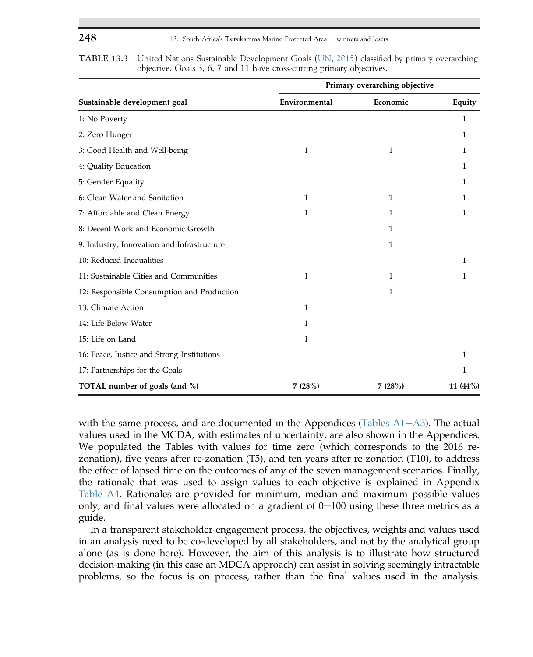|                                            |               | Primary overarching objective |              |
|--------------------------------------------|---------------|-------------------------------|--------------|
| Sustainable development goal               | Environmental | Economic                      | Equity       |
| 1: No Poverty                              |               |                               | 1            |
| 2: Zero Hunger                             |               |                               | 1            |
| 3: Good Health and Well-being              | $\mathbf{1}$  | 1                             | 1            |
| 4: Quality Education                       |               |                               | 1            |
| 5: Gender Equality                         |               |                               | 1            |
| 6: Clean Water and Sanitation              | 1             | 1                             | 1            |
| 7: Affordable and Clean Energy             | 1             | 1                             | $\mathbf{1}$ |
| 8: Decent Work and Economic Growth         |               | 1                             |              |
| 9: Industry, Innovation and Infrastructure |               | 1                             |              |
| 10: Reduced Inequalities                   |               |                               | 1            |
| 11: Sustainable Cities and Communities     | 1             | 1                             | 1            |
| 12: Responsible Consumption and Production |               | 1                             |              |
| 13: Climate Action                         | 1             |                               |              |
| 14: Life Below Water                       | 1             |                               |              |
| 15: Life on Land                           | 1             |                               |              |
| 16: Peace, Justice and Strong Institutions |               |                               | 1            |
| 17: Partnerships for the Goals             |               |                               | 1            |
| TOTAL number of goals (and %)              | 7(28%)        | 7(28%)                        | 11 (44%)     |

TABLE 13.3 United Nations Sustainable Development Goals [\(UN, 2015](#page-23-0)) classified by primary overarching objective. Goals 3, 6, 7 and 11 have cross-cutting primary objectives.

with the same process, and are documented in the Appendices (Tables  $A1-A3$ ). The actual values used in the MCDA, with estimates of uncertainty, are also shown in the Appendices. We populated the Tables with values for time zero (which corresponds to the 2016 rezonation), five years after re-zonation (T5), and ten years after re-zonation (T10), to address the effect of lapsed time on the outcomes of any of the seven management scenarios. Finally, the rationale that was used to assign values to each objective is explained in Appendix [Table A4](#page-28-0). Rationales are provided for minimum, median and maximum possible values only, and final values were allocated on a gradient of  $0-100$  using these three metrics as a guide.

In a transparent stakeholder-engagement process, the objectives, weights and values used in an analysis need to be co-developed by all stakeholders, and not by the analytical group alone (as is done here). However, the aim of this analysis is to illustrate how structured decision-making (in this case an MDCA approach) can assist in solving seemingly intractable problems, so the focus is on process, rather than the final values used in the analysis.

<span id="page-11-0"></span>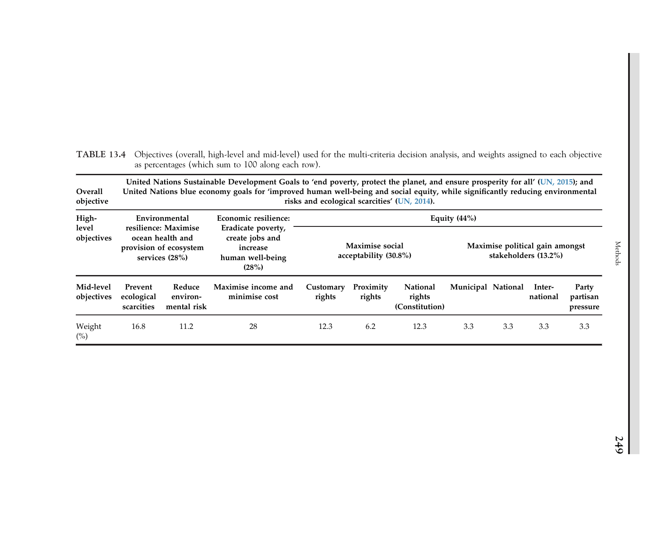<span id="page-12-0"></span>TABLE 13.4 Objectives (overall, high-level and mid-level) used for the multi-criteria decision analysis, and weights assigned to each objective as percentages (which sum to 100 along each row).

| Overall<br>objective     |                                     |                                                              | United Nations Sustainable Development Goals to 'end poverty, protect the planet, and ensure prosperity for all' (UN, 2015); and<br>United Nations blue economy goals for 'improved human well-being and social equity, while significantly reducing environmental | risks and ecological scarcities' (UN, 2014). |                                          |                                      |                    |     |                                                         |                               |
|--------------------------|-------------------------------------|--------------------------------------------------------------|--------------------------------------------------------------------------------------------------------------------------------------------------------------------------------------------------------------------------------------------------------------------|----------------------------------------------|------------------------------------------|--------------------------------------|--------------------|-----|---------------------------------------------------------|-------------------------------|
| High-<br>level           |                                     | Environmental<br>resilience: Maximise                        | Economic resilience:<br>Eradicate poverty,                                                                                                                                                                                                                         |                                              |                                          |                                      | Equity $(44%)$     |     |                                                         |                               |
| objectives               |                                     | ocean health and<br>provision of ecosystem<br>services (28%) | create jobs and<br>increase<br>human well-being<br>(28%)                                                                                                                                                                                                           |                                              | Maximise social<br>acceptability (30.8%) |                                      |                    |     | Maximise political gain amongst<br>stakeholders (13.2%) |                               |
| Mid-level<br>objectives  | Prevent<br>ecological<br>scarcities | Reduce<br>environ-<br>mental risk                            | Maximise income and<br>minimise cost                                                                                                                                                                                                                               | Customary<br>rights                          | Proximity<br>rights                      | National<br>rights<br>(Constitution) | Municipal National |     | Inter-<br>national                                      | Party<br>partisan<br>pressure |
| Weight<br>$\binom{0}{0}$ | 16.8                                | 11.2                                                         | 28                                                                                                                                                                                                                                                                 | 12.3                                         | 6.2                                      | 12.3                                 | 3.3                | 3.3 | 3.3                                                     | 3.3                           |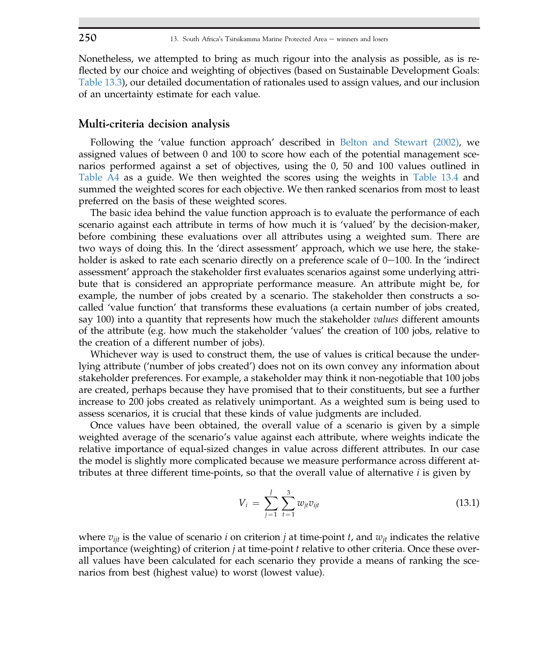Nonetheless, we attempted to bring as much rigour into the analysis as possible, as is reflected by our choice and weighting of objectives (based on Sustainable Development Goals: [Table 13.3\)](#page-11-0), our detailed documentation of rationales used to assign values, and our inclusion of an uncertainty estimate for each value.

#### Multi-criteria decision analysis

Following the 'value function approach' described in [Belton and Stewart \(2002\)](#page-22-0), we assigned values of between 0 and 100 to score how each of the potential management scenarios performed against a set of objectives, using the 0, 50 and 100 values outlined in [Table A4](#page-28-0) as a guide. We then weighted the scores using the weights in [Table 13.4](#page-12-0) and summed the weighted scores for each objective. We then ranked scenarios from most to least preferred on the basis of these weighted scores.

The basic idea behind the value function approach is to evaluate the performance of each scenario against each attribute in terms of how much it is 'valued' by the decision-maker, before combining these evaluations over all attributes using a weighted sum. There are two ways of doing this. In the 'direct assessment' approach, which we use here, the stakeholder is asked to rate each scenario directly on a preference scale of  $0-100$ . In the 'indirect assessment' approach the stakeholder first evaluates scenarios against some underlying attribute that is considered an appropriate performance measure. An attribute might be, for example, the number of jobs created by a scenario. The stakeholder then constructs a socalled 'value function' that transforms these evaluations (a certain number of jobs created, say 100) into a quantity that represents how much the stakeholder *values* different amounts of the attribute (e.g. how much the stakeholder 'values' the creation of 100 jobs, relative to the creation of a different number of jobs).

Whichever way is used to construct them, the use of values is critical because the underlying attribute ('number of jobs created') does not on its own convey any information about stakeholder preferences. For example, a stakeholder may think it non-negotiable that 100 jobs are created, perhaps because they have promised that to their constituents, but see a further increase to 200 jobs created as relatively unimportant. As a weighted sum is being used to assess scenarios, it is crucial that these kinds of value judgments are included.

Once values have been obtained, the overall value of a scenario is given by a simple weighted average of the scenario's value against each attribute, where weights indicate the relative importance of equal-sized changes in value across different attributes. In our case the model is slightly more complicated because we measure performance across different attributes at three different time-points, so that the overall value of alternative  $i$  is given by

$$
V_i = \sum_{j=1}^{J} \sum_{t=1}^{3} w_{jt} v_{ijt}
$$
 (13.1)

where  $v_{ijt}$  is the value of scenario *i* on criterion *j* at time-point *t*, and  $w_{jt}$  indicates the relative importance (weighting) of criterion  $j$  at time-point  $t$  relative to other criteria. Once these overall values have been calculated for each scenario they provide a means of ranking the scenarios from best (highest value) to worst (lowest value).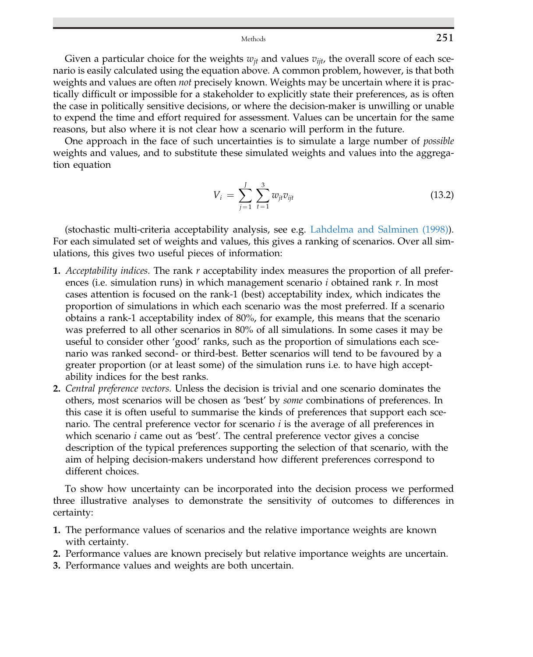Given a particular choice for the weights  $w_{it}$  and values  $v_{it}$ , the overall score of each scenario is easily calculated using the equation above. A common problem, however, is that both weights and values are often *not* precisely known. Weights may be uncertain where it is practically difficult or impossible for a stakeholder to explicitly state their preferences, as is often the case in politically sensitive decisions, or where the decision-maker is unwilling or unable to expend the time and effort required for assessment. Values can be uncertain for the same reasons, but also where it is not clear how a scenario will perform in the future.

One approach in the face of such uncertainties is to simulate a large number of possible weights and values, and to substitute these simulated weights and values into the aggregation equation

$$
V_i = \sum_{j=1}^{J} \sum_{t=1}^{3} w_{jt} v_{ijt}
$$
 (13.2)

(stochastic multi-criteria acceptability analysis, see e.g. [Lahdelma and Salminen \(1998\)\)](#page-23-0). For each simulated set of weights and values, this gives a ranking of scenarios. Over all simulations, this gives two useful pieces of information:

- 1. Acceptability indices. The rank  $r$  acceptability index measures the proportion of all preferences (i.e. simulation runs) in which management scenario i obtained rank r. In most cases attention is focused on the rank-1 (best) acceptability index, which indicates the proportion of simulations in which each scenario was the most preferred. If a scenario obtains a rank-1 acceptability index of 80%, for example, this means that the scenario was preferred to all other scenarios in 80% of all simulations. In some cases it may be useful to consider other 'good' ranks, such as the proportion of simulations each scenario was ranked second- or third-best. Better scenarios will tend to be favoured by a greater proportion (or at least some) of the simulation runs i.e. to have high acceptability indices for the best ranks.
- **2.** Central preference vectors. Unless the decision is trivial and one scenario dominates the others, most scenarios will be chosen as 'best' by some combinations of preferences. In this case it is often useful to summarise the kinds of preferences that support each scenario. The central preference vector for scenario  $i$  is the average of all preferences in which scenario *i* came out as 'best'. The central preference vector gives a concise description of the typical preferences supporting the selection of that scenario, with the aim of helping decision-makers understand how different preferences correspond to different choices.

To show how uncertainty can be incorporated into the decision process we performed three illustrative analyses to demonstrate the sensitivity of outcomes to differences in certainty:

- 1. The performance values of scenarios and the relative importance weights are known with certainty.
- 2. Performance values are known precisely but relative importance weights are uncertain.
- 3. Performance values and weights are both uncertain.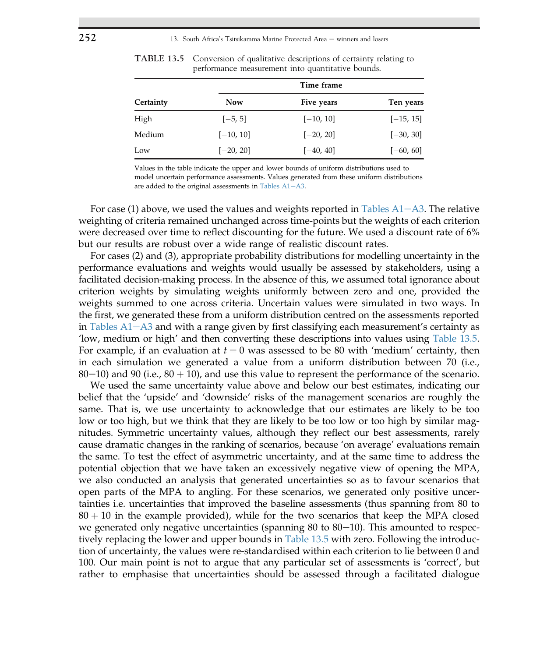|           |             | Time frame  |             |
|-----------|-------------|-------------|-------------|
| Certainty | <b>Now</b>  | Five years  | Ten years   |
| High      | $[-5, 5]$   | $[-10, 10]$ | $[-15, 15]$ |
| Medium    | $[-10, 10]$ | $[-20, 20]$ | $[-30, 30]$ |
| Low       | $[-20, 20]$ | $[-40, 40]$ | $[-60, 60]$ |

TABLE 13.5 Conversion of qualitative descriptions of certainty relating to performance measurement into quantitative bounds.

Values in the table indicate the upper and lower bounds of uniform distributions used to model uncertain performance assessments. Values generated from these uniform distributions are added to the original assessments in Tables  $A1-A3$ .

For case (1) above, we used the values and weights reported in Tables  $A1-A3$ . The relative weighting of criteria remained unchanged across time-points but the weights of each criterion were decreased over time to reflect discounting for the future. We used a discount rate of 6% but our results are robust over a wide range of realistic discount rates.

For cases (2) and (3), appropriate probability distributions for modelling uncertainty in the performance evaluations and weights would usually be assessed by stakeholders, using a facilitated decision-making process. In the absence of this, we assumed total ignorance about criterion weights by simulating weights uniformly between zero and one, provided the weights summed to one across criteria. Uncertain values were simulated in two ways. In the first, we generated these from a uniform distribution centred on the assessments reported in Tables  $A1-A3$  and with a range given by first classifying each measurement's certainty as 'low, medium or high' and then converting these descriptions into values using Table 13.5. For example, if an evaluation at  $t = 0$  was assessed to be 80 with 'medium' certainty, then in each simulation we generated a value from a uniform distribution between 70 (i.e.,  $80-10$ ) and  $90$  (i.e.,  $80 + 10$ ), and use this value to represent the performance of the scenario.

We used the same uncertainty value above and below our best estimates, indicating our belief that the 'upside' and 'downside' risks of the management scenarios are roughly the same. That is, we use uncertainty to acknowledge that our estimates are likely to be too low or too high, but we think that they are likely to be too low or too high by similar magnitudes. Symmetric uncertainty values, although they reflect our best assessments, rarely cause dramatic changes in the ranking of scenarios, because 'on average' evaluations remain the same. To test the effect of asymmetric uncertainty, and at the same time to address the potential objection that we have taken an excessively negative view of opening the MPA, we also conducted an analysis that generated uncertainties so as to favour scenarios that open parts of the MPA to angling. For these scenarios, we generated only positive uncertainties i.e. uncertainties that improved the baseline assessments (thus spanning from 80 to  $80 + 10$  in the example provided), while for the two scenarios that keep the MPA closed we generated only negative uncertainties (spanning  $80$  to  $80-10$ ). This amounted to respectively replacing the lower and upper bounds in Table 13.5 with zero. Following the introduction of uncertainty, the values were re-standardised within each criterion to lie between 0 and 100. Our main point is not to argue that any particular set of assessments is 'correct', but rather to emphasise that uncertainties should be assessed through a facilitated dialogue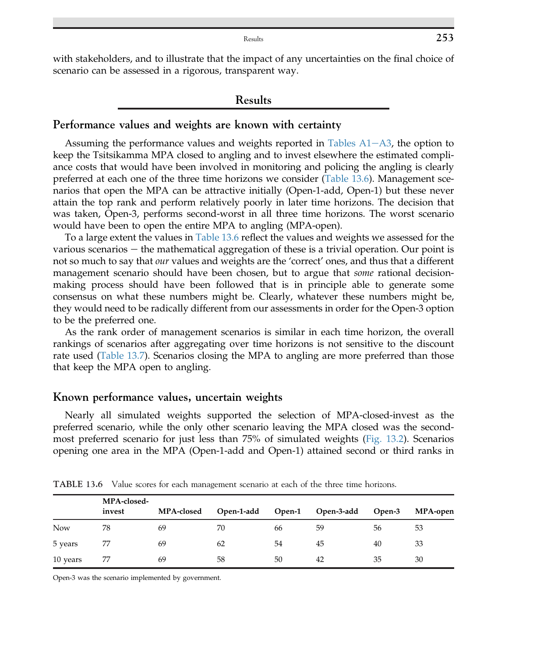with stakeholders, and to illustrate that the impact of any uncertainties on the final choice of scenario can be assessed in a rigorous, transparent way.

### Results

#### Performance values and weights are known with certainty

Assuming the performance values and weights reported in Tables  $A1-A3$ , the option to keep the Tsitsikamma MPA closed to angling and to invest elsewhere the estimated compliance costs that would have been involved in monitoring and policing the angling is clearly preferred at each one of the three time horizons we consider (Table 13.6). Management scenarios that open the MPA can be attractive initially (Open-1-add, Open-1) but these never attain the top rank and perform relatively poorly in later time horizons. The decision that was taken, Open-3, performs second-worst in all three time horizons. The worst scenario would have been to open the entire MPA to angling (MPA-open).

To a large extent the values in Table 13.6 reflect the values and weights we assessed for the various scenarios – the mathematical aggregation of these is a trivial operation. Our point is not so much to say that our values and weights are the 'correct' ones, and thus that a different management scenario should have been chosen, but to argue that *some* rational decisionmaking process should have been followed that is in principle able to generate some consensus on what these numbers might be. Clearly, whatever these numbers might be, they would need to be radically different from our assessments in order for the Open-3 option to be the preferred one.

As the rank order of management scenarios is similar in each time horizon, the overall rankings of scenarios after aggregating over time horizons is not sensitive to the discount rate used [\(Table 13.7](#page-17-0)). Scenarios closing the MPA to angling are more preferred than those that keep the MPA open to angling.

#### Known performance values, uncertain weights

Nearly all simulated weights supported the selection of MPA-closed-invest as the preferred scenario, while the only other scenario leaving the MPA closed was the secondmost preferred scenario for just less than 75% of simulated weights ([Fig. 13.2](#page-17-0)). Scenarios opening one area in the MPA (Open-1-add and Open-1) attained second or third ranks in

|            | MPA-closed- |                   |            |        |            |        |          |
|------------|-------------|-------------------|------------|--------|------------|--------|----------|
|            | invest      | <b>MPA-closed</b> | Open-1-add | Open-1 | Open-3-add | Open-3 | MPA-open |
| <b>Now</b> | 78          | 69                | 70         | 66     | 59         | 56     | 53       |
| 5 years    | 77          | 69                | 62         | 54     | 45         | 40     | 33       |
| 10 years   | 77          | 69                | 58         | 50     | 42         | 35     | 30       |

TABLE 13.6 Value scores for each management scenario at each of the three time horizons.

Open-3 was the scenario implemented by government.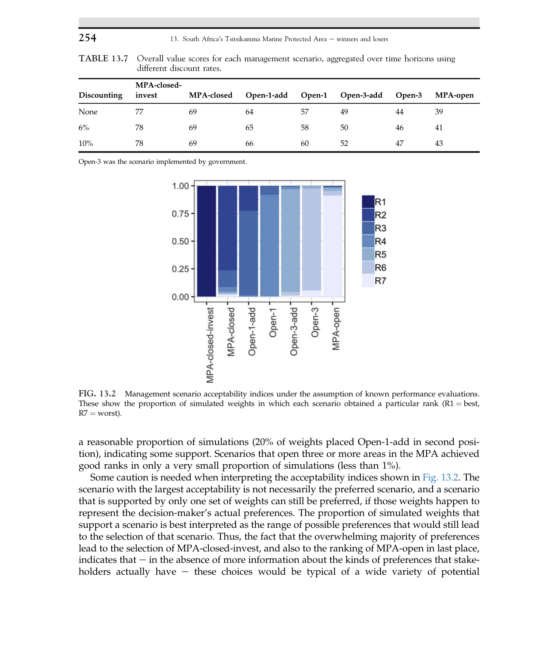|                    | <b>MPA-closed-</b> |    |                                         |    |    |        |          |
|--------------------|--------------------|----|-----------------------------------------|----|----|--------|----------|
| <b>Discounting</b> | invest             |    | MPA-closed Open-1-add Open-1 Open-3-add |    |    | Open-3 | MPA-open |
| None               |                    | 69 | 64                                      | 57 | 49 | 44     | 39       |
| 6%                 | 78                 | 69 | 65                                      | 58 | 50 | 46     | 41       |
| 10%                | 78                 | 69 | 66                                      | 60 | 52 | 47     | 43       |

TABLE 13.7 Overall value scores for each management scenario, aggregated over time horizons using different discount rates.

Open-3 was the scenario implemented by government.



FIG. 13.2 Management scenario acceptability indices under the assumption of known performance evaluations. These show the proportion of simulated weights in which each scenario obtained a particular rank ( $R1 = best$ ,  $R7 =$  worst).

a reasonable proportion of simulations (20% of weights placed Open-1-add in second position), indicating some support. Scenarios that open three or more areas in the MPA achieved good ranks in only a very small proportion of simulations (less than 1%).

Some caution is needed when interpreting the acceptability indices shown in Fig. 13.2. The scenario with the largest acceptability is not necessarily the preferred scenario, and a scenario that is supported by only one set of weights can still be preferred, if those weights happen to represent the decision-maker's actual preferences. The proportion of simulated weights that support a scenario is best interpreted as the range of possible preferences that would still lead to the selection of that scenario. Thus, the fact that the overwhelming majority of preferences lead to the selection of MPA-closed-invest, and also to the ranking of MPA-open in last place, indicates that  $-$  in the absence of more information about the kinds of preferences that stakeholders actually have  $-$  these choices would be typical of a wide variety of potential

<span id="page-17-0"></span>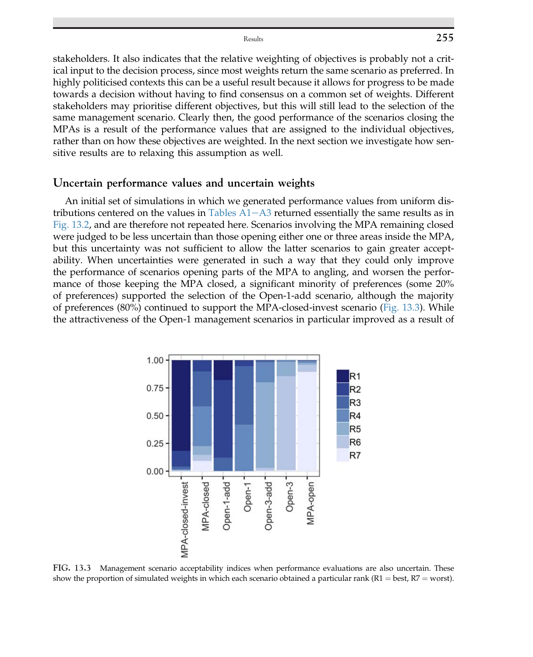<span id="page-18-0"></span>stakeholders. It also indicates that the relative weighting of objectives is probably not a critical input to the decision process, since most weights return the same scenario as preferred. In highly politicised contexts this can be a useful result because it allows for progress to be made towards a decision without having to find consensus on a common set of weights. Different stakeholders may prioritise different objectives, but this will still lead to the selection of the same management scenario. Clearly then, the good performance of the scenarios closing the MPAs is a result of the performance values that are assigned to the individual objectives, rather than on how these objectives are weighted. In the next section we investigate how sensitive results are to relaxing this assumption as well.

# Uncertain performance values and uncertain weights

An initial set of simulations in which we generated performance values from uniform distributions centered on the values in Tables  $A1-A3$  returned essentially the same results as in [Fig. 13.2](#page-17-0), and are therefore not repeated here. Scenarios involving the MPA remaining closed were judged to be less uncertain than those opening either one or three areas inside the MPA, but this uncertainty was not sufficient to allow the latter scenarios to gain greater acceptability. When uncertainties were generated in such a way that they could only improve the performance of scenarios opening parts of the MPA to angling, and worsen the performance of those keeping the MPA closed, a significant minority of preferences (some 20% of preferences) supported the selection of the Open-1-add scenario, although the majority of preferences (80%) continued to support the MPA-closed-invest scenario (Fig. 13.3). While the attractiveness of the Open-1 management scenarios in particular improved as a result of



FIG. 13.3 Management scenario acceptability indices when performance evaluations are also uncertain. These show the proportion of simulated weights in which each scenario obtained a particular rank ( $R1 = best$ ,  $R7 = worst$ ).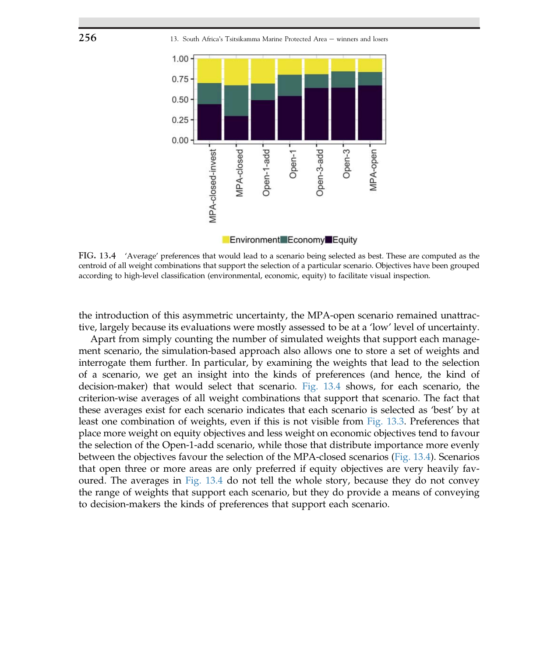

FIG. 13.4 'Average' preferences that would lead to a scenario being selected as best. These are computed as the centroid of all weight combinations that support the selection of a particular scenario. Objectives have been grouped according to high-level classification (environmental, economic, equity) to facilitate visual inspection.

the introduction of this asymmetric uncertainty, the MPA-open scenario remained unattractive, largely because its evaluations were mostly assessed to be at a 'low' level of uncertainty.

Apart from simply counting the number of simulated weights that support each management scenario, the simulation-based approach also allows one to store a set of weights and interrogate them further. In particular, by examining the weights that lead to the selection of a scenario, we get an insight into the kinds of preferences (and hence, the kind of decision-maker) that would select that scenario. Fig. 13.4 shows, for each scenario, the criterion-wise averages of all weight combinations that support that scenario. The fact that these averages exist for each scenario indicates that each scenario is selected as 'best' by at least one combination of weights, even if this is not visible from [Fig. 13.3.](#page-18-0) Preferences that place more weight on equity objectives and less weight on economic objectives tend to favour the selection of the Open-1-add scenario, while those that distribute importance more evenly between the objectives favour the selection of the MPA-closed scenarios (Fig. 13.4). Scenarios that open three or more areas are only preferred if equity objectives are very heavily favoured. The averages in Fig. 13.4 do not tell the whole story, because they do not convey the range of weights that support each scenario, but they do provide a means of conveying to decision-makers the kinds of preferences that support each scenario.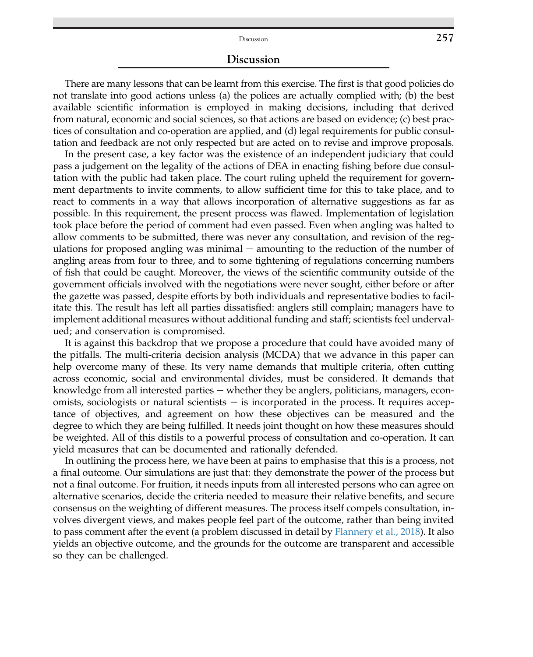$D$ iscussion  $257$ 

#### Discussion

There are many lessons that can be learnt from this exercise. The first is that good policies do not translate into good actions unless (a) the polices are actually complied with; (b) the best available scientific information is employed in making decisions, including that derived from natural, economic and social sciences, so that actions are based on evidence; (c) best practices of consultation and co-operation are applied, and (d) legal requirements for public consultation and feedback are not only respected but are acted on to revise and improve proposals.

In the present case, a key factor was the existence of an independent judiciary that could pass a judgement on the legality of the actions of DEA in enacting fishing before due consultation with the public had taken place. The court ruling upheld the requirement for government departments to invite comments, to allow sufficient time for this to take place, and to react to comments in a way that allows incorporation of alternative suggestions as far as possible. In this requirement, the present process was flawed. Implementation of legislation took place before the period of comment had even passed. Even when angling was halted to allow comments to be submitted, there was never any consultation, and revision of the regulations for proposed angling was minimal  $-$  amounting to the reduction of the number of angling areas from four to three, and to some tightening of regulations concerning numbers of fish that could be caught. Moreover, the views of the scientific community outside of the government officials involved with the negotiations were never sought, either before or after the gazette was passed, despite efforts by both individuals and representative bodies to facilitate this. The result has left all parties dissatisfied: anglers still complain; managers have to implement additional measures without additional funding and staff; scientists feel undervalued; and conservation is compromised.

It is against this backdrop that we propose a procedure that could have avoided many of the pitfalls. The multi-criteria decision analysis (MCDA) that we advance in this paper can help overcome many of these. Its very name demands that multiple criteria, often cutting across economic, social and environmental divides, must be considered. It demands that knowledge from all interested parties  $-$  whether they be anglers, politicians, managers, econ $omists$ , sociologists or natural scientists  $-$  is incorporated in the process. It requires acceptance of objectives, and agreement on how these objectives can be measured and the degree to which they are being fulfilled. It needs joint thought on how these measures should be weighted. All of this distils to a powerful process of consultation and co-operation. It can yield measures that can be documented and rationally defended.

In outlining the process here, we have been at pains to emphasise that this is a process, not a final outcome. Our simulations are just that: they demonstrate the power of the process but not a final outcome. For fruition, it needs inputs from all interested persons who can agree on alternative scenarios, decide the criteria needed to measure their relative benefits, and secure consensus on the weighting of different measures. The process itself compels consultation, involves divergent views, and makes people feel part of the outcome, rather than being invited to pass comment after the event (a problem discussed in detail by [Flannery et al., 2018\)](#page-22-0). It also yields an objective outcome, and the grounds for the outcome are transparent and accessible so they can be challenged.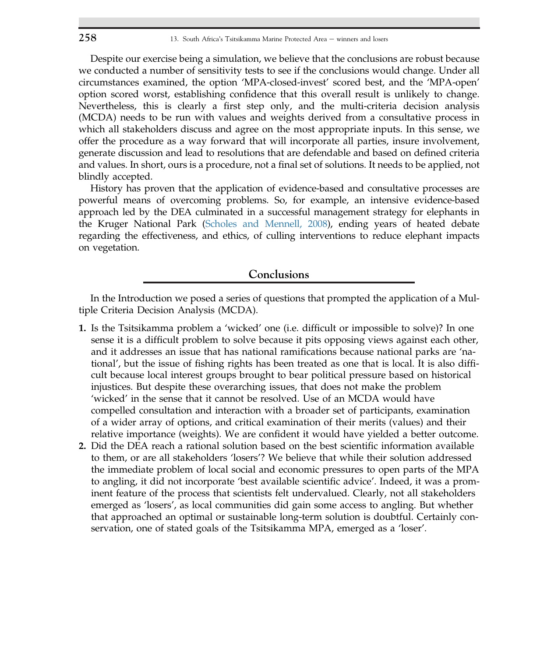Despite our exercise being a simulation, we believe that the conclusions are robust because we conducted a number of sensitivity tests to see if the conclusions would change. Under all circumstances examined, the option 'MPA-closed-invest' scored best, and the 'MPA-open' option scored worst, establishing confidence that this overall result is unlikely to change. Nevertheless, this is clearly a first step only, and the multi-criteria decision analysis (MCDA) needs to be run with values and weights derived from a consultative process in which all stakeholders discuss and agree on the most appropriate inputs. In this sense, we offer the procedure as a way forward that will incorporate all parties, insure involvement, generate discussion and lead to resolutions that are defendable and based on defined criteria and values. In short, ours is a procedure, not a final set of solutions. It needs to be applied, not blindly accepted.

History has proven that the application of evidence-based and consultative processes are powerful means of overcoming problems. So, for example, an intensive evidence-based approach led by the DEA culminated in a successful management strategy for elephants in the Kruger National Park [\(Scholes and Mennell, 2008\)](#page-23-0), ending years of heated debate regarding the effectiveness, and ethics, of culling interventions to reduce elephant impacts on vegetation.

## Conclusions

In the Introduction we posed a series of questions that prompted the application of a Multiple Criteria Decision Analysis (MCDA).

- 1. Is the Tsitsikamma problem a 'wicked' one (i.e. difficult or impossible to solve)? In one sense it is a difficult problem to solve because it pits opposing views against each other, and it addresses an issue that has national ramifications because national parks are 'national', but the issue of fishing rights has been treated as one that is local. It is also difficult because local interest groups brought to bear political pressure based on historical injustices. But despite these overarching issues, that does not make the problem 'wicked' in the sense that it cannot be resolved. Use of an MCDA would have compelled consultation and interaction with a broader set of participants, examination of a wider array of options, and critical examination of their merits (values) and their relative importance (weights). We are confident it would have yielded a better outcome.
- 2. Did the DEA reach a rational solution based on the best scientific information available to them, or are all stakeholders 'losers'? We believe that while their solution addressed the immediate problem of local social and economic pressures to open parts of the MPA to angling, it did not incorporate 'best available scientific advice'. Indeed, it was a prominent feature of the process that scientists felt undervalued. Clearly, not all stakeholders emerged as 'losers', as local communities did gain some access to angling. But whether that approached an optimal or sustainable long-term solution is doubtful. Certainly conservation, one of stated goals of the Tsitsikamma MPA, emerged as a 'loser'.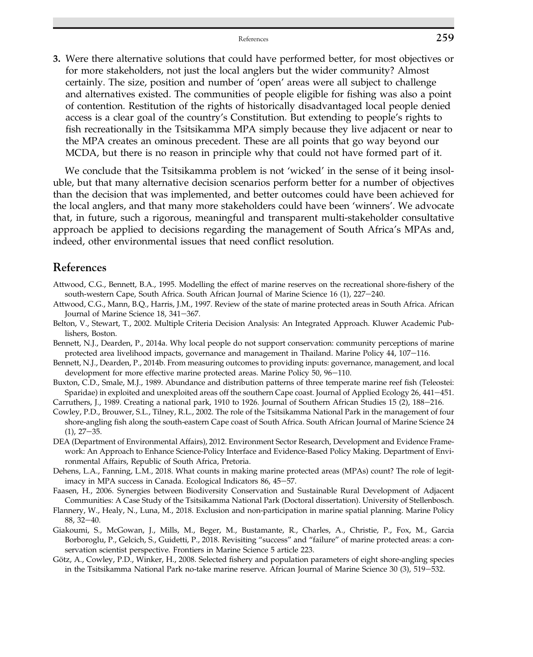References  $259$ 

<span id="page-22-0"></span>3. Were there alternative solutions that could have performed better, for most objectives or for more stakeholders, not just the local anglers but the wider community? Almost certainly. The size, position and number of 'open' areas were all subject to challenge and alternatives existed. The communities of people eligible for fishing was also a point of contention. Restitution of the rights of historically disadvantaged local people denied access is a clear goal of the country's Constitution. But extending to people's rights to fish recreationally in the Tsitsikamma MPA simply because they live adjacent or near to the MPA creates an ominous precedent. These are all points that go way beyond our MCDA, but there is no reason in principle why that could not have formed part of it.

We conclude that the Tsitsikamma problem is not 'wicked' in the sense of it being insoluble, but that many alternative decision scenarios perform better for a number of objectives than the decision that was implemented, and better outcomes could have been achieved for the local anglers, and that many more stakeholders could have been 'winners'. We advocate that, in future, such a rigorous, meaningful and transparent multi-stakeholder consultative approach be applied to decisions regarding the management of South Africa's MPAs and, indeed, other environmental issues that need conflict resolution.

# References

- Attwood, C.G., Bennett, B.A., 1995. Modelling the effect of marine reserves on the recreational shore-fishery of the south-western Cape, South Africa. South African Journal of Marine Science 16 (1), 227-240.
- Attwood, C.G., Mann, B.Q., Harris, J.M., 1997. Review of the state of marine protected areas in South Africa. African Journal of Marine Science 18, 341-367.
- Belton, V., Stewart, T., 2002. Multiple Criteria Decision Analysis: An Integrated Approach. Kluwer Academic Publishers, Boston.
- Bennett, N.J., Dearden, P., 2014a. Why local people do not support conservation: community perceptions of marine protected area livelihood impacts, governance and management in Thailand. Marine Policy 44, 107-116.
- Bennett, N.J., Dearden, P., 2014b. From measuring outcomes to providing inputs: governance, management, and local development for more effective marine protected areas. Marine Policy 50, 96–110.
- Buxton, C.D., Smale, M.J., 1989. Abundance and distribution patterns of three temperate marine reef fish (Teleostei: Sparidae) in exploited and unexploited areas off the southern Cape coast. Journal of Applied Ecology 26, 441-451.
- Carruthers, J., 1989. Creating a national park, 1910 to 1926. Journal of Southern African Studies 15 (2), 188–216.
- Cowley, P.D., Brouwer, S.L., Tilney, R.L., 2002. The role of the Tsitsikamma National Park in the management of four shore-angling fish along the south-eastern Cape coast of South Africa. South African Journal of Marine Science 24  $(1)$ , 27 $-35$ .
- DEA (Department of Environmental Affairs), 2012. Environment Sector Research, Development and Evidence Framework: An Approach to Enhance Science-Policy Interface and Evidence-Based Policy Making. Department of Environmental Affairs, Republic of South Africa, Pretoria.
- Dehens, L.A., Fanning, L.M., 2018. What counts in making marine protected areas (MPAs) count? The role of legitimacy in MPA success in Canada. Ecological Indicators 86, 45–57.
- Faasen, H., 2006. Synergies between Biodiversity Conservation and Sustainable Rural Development of Adjacent Communities: A Case Study of the Tsitsikamma National Park (Doctoral dissertation). University of Stellenbosch.
- Flannery, W., Healy, N., Luna, M., 2018. Exclusion and non-participation in marine spatial planning. Marine Policy 88, 32–40.
- Giakoumi, S., McGowan, J., Mills, M., Beger, M., Bustamante, R., Charles, A., Christie, P., Fox, M., Garcia Borboroglu, P., Gelcich, S., Guidetti, P., 2018. Revisiting "success" and "failure" of marine protected areas: a conservation scientist perspective. Frontiers in Marine Science 5 article 223.
- Götz, A., Cowley, P.D., Winker, H., 2008. Selected fishery and population parameters of eight shore-angling species in the Tsitsikamma National Park no-take marine reserve. African Journal of Marine Science 30 (3), 519-532.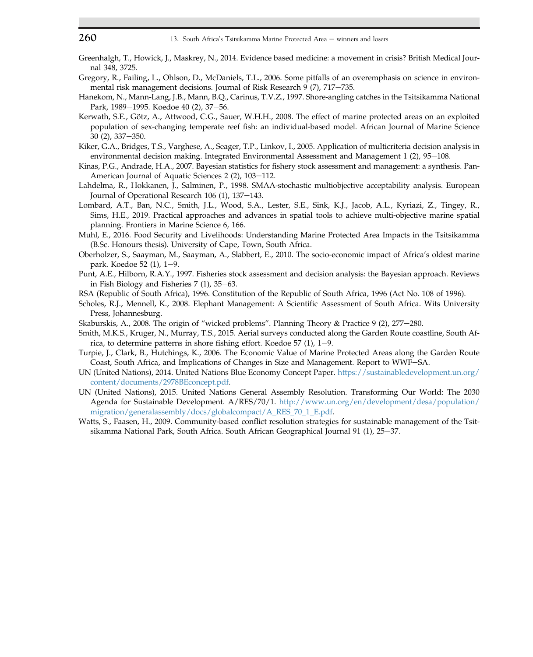- Greenhalgh, T., Howick, J., Maskrey, N., 2014. Evidence based medicine: a movement in crisis? British Medical Journal 348, 3725.
- Gregory, R., Failing, L., Ohlson, D., McDaniels, T.L., 2006. Some pitfalls of an overemphasis on science in environmental risk management decisions. Journal of Risk Research 9  $(7)$ ,  $717-735$ .
- Hanekom, N., Mann-Lang, J.B., Mann, B.Q., Carinus, T.V.Z., 1997. Shore-angling catches in the Tsitsikamma National Park, 1989-1995. Koedoe 40 (2), 37-56.
- Kerwath, S.E., Götz, A., Attwood, C.G., Sauer, W.H.H., 2008. The effect of marine protected areas on an exploited population of sex-changing temperate reef fish: an individual-based model. African Journal of Marine Science  $30(2)$ ,  $337-350$ .
- Kiker, G.A., Bridges, T.S., Varghese, A., Seager, T.P., Linkov, I., 2005. Application of multicriteria decision analysis in environmental decision making. Integrated Environmental Assessment and Management 1 (2), 95–108.
- Kinas, P.G., Andrade, H.A., 2007. Bayesian statistics for fishery stock assessment and management: a synthesis. Pan-American Journal of Aquatic Sciences 2 (2), 103-112.
- Lahdelma, R., Hokkanen, J., Salminen, P., 1998. SMAA-stochastic multiobjective acceptability analysis. European Journal of Operational Research 106 (1), 137-143.
- Lombard, A.T., Ban, N.C., Smith, J.L., Wood, S.A., Lester, S.E., Sink, K.J., Jacob, A.L., Kyriazi, Z., Tingey, R., Sims, H.E., 2019. Practical approaches and advances in spatial tools to achieve multi-objective marine spatial planning. Frontiers in Marine Science 6, 166.
- Muhl, E., 2016. Food Security and Livelihoods: Understanding Marine Protected Area Impacts in the Tsitsikamma (B.Sc. Honours thesis). University of Cape, Town, South Africa.
- Oberholzer, S., Saayman, M., Saayman, A., Slabbert, E., 2010. The socio-economic impact of Africa's oldest marine park. Koedoe 52 $(1)$ , 1-9.
- Punt, A.E., Hilborn, R.A.Y., 1997. Fisheries stock assessment and decision analysis: the Bayesian approach. Reviews in Fish Biology and Fisheries  $7(1)$ ,  $35-63$ .
- RSA (Republic of South Africa), 1996. Constitution of the Republic of South Africa, 1996 (Act No. 108 of 1996).
- Scholes, R.J., Mennell, K., 2008. Elephant Management: A Scientific Assessment of South Africa. Wits University Press, Johannesburg.
- Skaburskis, A., 2008. The origin of "wicked problems". Planning Theory & Practice 9 (2), 277-280.
- Smith, M.K.S., Kruger, N., Murray, T.S., 2015. Aerial surveys conducted along the Garden Route coastline, South Africa, to determine patterns in shore fishing effort. Koedoe 57 $(1)$ , 1–9.
- Turpie, J., Clark, B., Hutchings, K., 2006. The Economic Value of Marine Protected Areas along the Garden Route Coast, South Africa, and Implications of Changes in Size and Management. Report to WWF–SA.
- UN (United Nations), 2014. United Nations Blue Economy Concept Paper. [https://sustainabledevelopment.un.org/](https://sustainabledevelopment.un.org/content/documents/2978BEconcept.pdf) [content/documents/2978BEconcept.pdf.](https://sustainabledevelopment.un.org/content/documents/2978BEconcept.pdf)
- UN (United Nations), 2015. United Nations General Assembly Resolution. Transforming Our World: The 2030 Agenda for Sustainable Development. A/RES/70/1. [http://www.un.org/en/development/desa/population/](http://www.un.org/en/development/desa/population/migration/generalassembly/docs/globalcompact/A_RES_70_1_E.pdf) [migration/generalassembly/docs/globalcompact/A\\_RES\\_70\\_1\\_E.pdf](http://www.un.org/en/development/desa/population/migration/generalassembly/docs/globalcompact/A_RES_70_1_E.pdf).
- Watts, S., Faasen, H., 2009. Community-based conflict resolution strategies for sustainable management of the Tsitsikamma National Park, South Africa. South African Geographical Journal 91 (1), 25–37.

<span id="page-23-0"></span><sup>260 13.</sup> South Africa's Tsitsikamma Marine Protected Area – winners and losers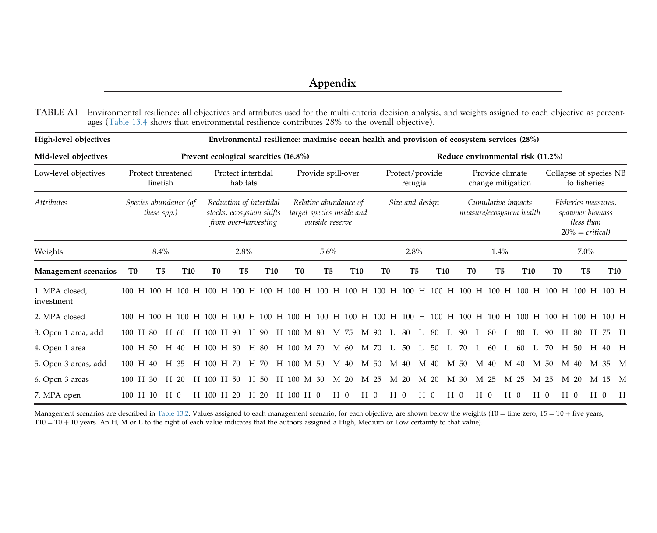<span id="page-24-0"></span>TABLE A1 Environmental resilience: all objectives and attributes used for the multi-criteria decision analysis, and weights assigned to each objective as percentages ([Table](#page-12-0) 13.4 shows that environmental resilience contributes 28% to the overall objective).

| High-level objectives        |                |                |                |                       |                                                       |                |      |                                                                             |                |                                                                       |                |            |                |          |                | Environmental resilience: maximise ocean health and provision of ecosystem services (28%) |                |      |                 |                         |                |                |              |                                                |                |                 |                |                                                                                                             |                |                 |            |
|------------------------------|----------------|----------------|----------------|-----------------------|-------------------------------------------------------|----------------|------|-----------------------------------------------------------------------------|----------------|-----------------------------------------------------------------------|----------------|------------|----------------|----------|----------------|-------------------------------------------------------------------------------------------|----------------|------|-----------------|-------------------------|----------------|----------------|--------------|------------------------------------------------|----------------|-----------------|----------------|-------------------------------------------------------------------------------------------------------------|----------------|-----------------|------------|
| Mid-level objectives         |                |                |                |                       | Prevent ecological scarcities (16.8%)                 |                |      |                                                                             |                |                                                                       |                |            |                |          |                |                                                                                           |                |      |                 |                         |                |                |              | Reduce environmental risk (11.2%)              |                |                 |                |                                                                                                             |                |                 |            |
| Low-level objectives         |                | linefish       |                | Protect threatened    |                                                       | habitats       |      | Protect intertidal                                                          |                | Provide spill-over                                                    |                |            |                |          |                | Protect/provide<br>refugia                                                                |                |      |                 |                         |                |                |              | Provide climate<br>change mitigation           |                |                 |                | Collapse of species NB<br>to fisheries                                                                      |                |                 |            |
| <b>Attributes</b>            |                | these spp.)    |                | Species abundance (of |                                                       |                |      | Reduction of intertidal<br>stocks, ecosystem shifts<br>from over-harvesting |                | Relative abundance of<br>target species inside and<br>outside reserve |                |            |                |          |                | Size and design                                                                           |                |      |                 |                         |                |                |              | Cumulative impacts<br>measure/ecosystem health |                |                 |                | Fisheries measures.<br>spawner biomass<br>(less than<br>$20\%$ = critical)                                  |                |                 |            |
| Weights                      |                | 8.4%           |                |                       |                                                       | 2.8%           |      |                                                                             |                | 5.6%                                                                  |                |            |                |          |                | 2.8%                                                                                      |                |      |                 |                         |                | 1.4%           |              |                                                |                |                 |                | $7.0\%$                                                                                                     |                |                 |            |
| Management scenarios         | T <sub>0</sub> | T <sub>5</sub> |                | T <sub>10</sub>       | T <sub>0</sub>                                        | T <sub>5</sub> |      | T <sub>10</sub>                                                             | T <sub>0</sub> | T <sub>5</sub>                                                        |                | <b>T10</b> |                |          | T <sub>0</sub> | T <sub>5</sub>                                                                            |                |      | T <sub>10</sub> | T <sub>0</sub>          |                | T <sub>5</sub> |              | <b>T10</b>                                     |                |                 | T <sub>0</sub> | T <sub>5</sub>                                                                                              |                |                 | <b>T10</b> |
| 1. MPA closed,<br>investment |                |                |                |                       | 100 H 100 H 100 H 100 H 100 H 100 H 100 H 100 H 100 H |                |      |                                                                             |                |                                                                       |                |            |                | $100$ H  |                |                                                                                           |                |      |                 | 100 H 100 H 100 H 100 H |                |                |              | 100 H                                          |                |                 |                | 100 H 100 H                                                                                                 |                | 100 H           |            |
| 2. MPA closed                |                |                |                |                       |                                                       |                |      |                                                                             |                |                                                                       |                |            |                |          |                |                                                                                           |                |      |                 |                         |                |                |              |                                                |                |                 |                | 100 H 100 H 100 H 100 H 100 H 100 H 100 H 100 H 100 H 100 H 100 H 100 H 100 H 100 H 100 H 100 H 100 H 100 H |                |                 |            |
| 3. Open 1 area, add          | 100 H 80       |                |                | H 60                  | H 100 H 90 H 90                                       |                |      |                                                                             |                | H 100 M 80 M 75                                                       |                |            |                | $M$ 90 L |                | -80                                                                                       | - T.           | -80  |                 | I.90                    | L              | -80            | $\mathbf{L}$ | 80 L                                           |                | 90              |                | H 80                                                                                                        |                | H 75 H          |            |
| 4. Open 1 area               | 100 H 50       |                |                | H 40                  | H 100 H 80 H 80                                       |                |      |                                                                             |                | H 100 M 70 M 60                                                       |                |            |                | M 70     |                | L 50                                                                                      |                | L 50 |                 | L 70                    | $\mathbf{L}$   | 60             |              | $L$ 60                                         | L              | 70              |                | H 50                                                                                                        | H              | 40 H            |            |
| 5. Open 3 areas, add         | 100 H 40       |                |                | H 35                  | H 100 H 70                                            |                |      | H 70                                                                        | H 100 M 50     |                                                                       |                | M 40       |                | M 50     |                | M 40                                                                                      |                | M 40 |                 | M 50                    | M              | 40             |              | M 40                                           |                | M <sub>50</sub> |                | M 40                                                                                                        | M              | $35 \mathrm{M}$ |            |
| 6. Open 3 areas              | 100 H 30       |                |                | H 20                  | H 100 H 50                                            |                | H 50 |                                                                             | H 100 M 30     |                                                                       |                | M 20       |                | M 25     |                | M 20                                                                                      |                | M 20 |                 | M 30                    |                | M 25           |              | M 25                                           | M              | 25              | M              | 20                                                                                                          | M              | 15              | M          |
| 7. MPA open                  | 100 H 10       |                | H <sub>0</sub> |                       | H 100 H 20                                            |                |      | H 20                                                                        | H 100 H 0      |                                                                       | H <sub>0</sub> |            | H <sub>0</sub> |          |                | H <sub>0</sub>                                                                            | H <sub>0</sub> |      | H <sub>0</sub>  |                         | H <sub>0</sub> |                |              | H <sub>0</sub>                                 | H <sub>0</sub> |                 | H <sub>0</sub> |                                                                                                             | H <sub>0</sub> |                 | Н          |

Management scenarios are described in [Table](#page-10-0) 13.2. Values assigned to each management scenario, for each objective, are shown below the weights (T0 = time zero; T5 = T0 + five years;  $T10 = T0 + 10$  years. An H, M or L to the right of each value indicates that the authors assigned a High, Medium or Low certainty to that value).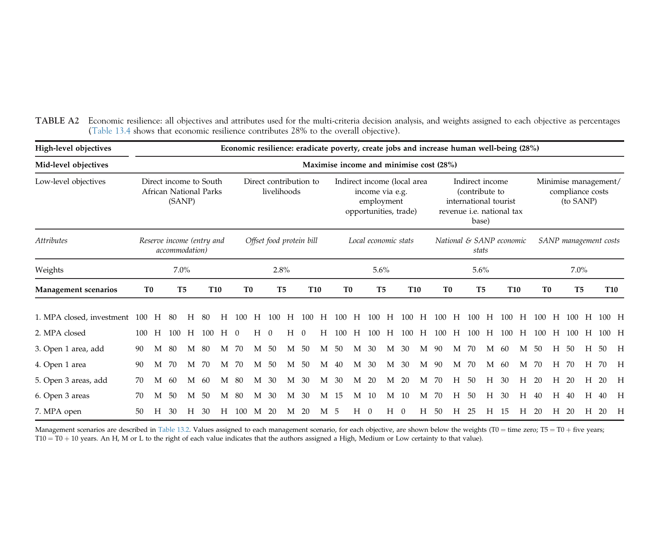| High-level objectives         |                |   |                |   |                                                  |   |                |   |             |                |                          |                 |                |                 |                               |   | Economic resilience: eradicate poverty, create jobs and increase human well-being (28%) |                 |                |   |                                                                                                         |   |                 |   |                |   |                               |         |                       |            |
|-------------------------------|----------------|---|----------------|---|--------------------------------------------------|---|----------------|---|-------------|----------------|--------------------------|-----------------|----------------|-----------------|-------------------------------|---|-----------------------------------------------------------------------------------------|-----------------|----------------|---|---------------------------------------------------------------------------------------------------------|---|-----------------|---|----------------|---|-------------------------------|---------|-----------------------|------------|
| Mid-level objectives          |                |   |                |   |                                                  |   |                |   |             |                |                          |                 |                |                 |                               |   | Maximise income and minimise cost (28%)                                                 |                 |                |   |                                                                                                         |   |                 |   |                |   |                               |         |                       |            |
| Low-level objectives          |                |   | (SANP)         |   | Direct income to South<br>African National Parks |   |                |   | livelihoods |                | Direct contribution to   |                 |                |                 | income via e.g.<br>employment |   | Indirect income (local area<br>opportunities, trade)                                    |                 |                |   | Indirect income<br>(contribute to<br>international tourist<br>revenue <i>i.e.</i> national tax<br>base) |   |                 |   |                |   | compliance costs<br>(to SANP) |         | Minimise management/  |            |
| <b>Attributes</b>             |                |   | accommodation) |   | Reserve income (entry and                        |   |                |   |             |                | Offset food protein bill |                 |                |                 |                               |   | Local economic stats                                                                    |                 |                |   | National & SANP economic<br>stats                                                                       |   |                 |   |                |   |                               |         | SANP management costs |            |
| Weights                       |                |   | $7.0\%$        |   |                                                  |   |                |   |             | 2.8%           |                          |                 |                |                 | 5.6%                          |   |                                                                                         |                 |                |   | 5.6%                                                                                                    |   |                 |   |                |   |                               | $7.0\%$ |                       |            |
| Management scenarios          | T <sub>0</sub> |   | T5             |   | <b>T10</b>                                       |   | T0             |   |             | T <sub>5</sub> |                          | T <sub>10</sub> | T <sub>0</sub> |                 | T <sub>5</sub>                |   |                                                                                         | T <sub>10</sub> | T <sub>0</sub> |   | T <sub>5</sub>                                                                                          |   | T <sub>10</sub> |   | T <sub>0</sub> |   | T5                            |         |                       | <b>T10</b> |
| 1. MPA closed, investment 100 |                | H | 80             | Н | 80                                               | Н | 100            | Н | 100         | H              | 100                      | H               | 100            | H               | 100                           | H | 100                                                                                     | H               | 100            | H | 100                                                                                                     | H | 100             | H | 100            | H | 100                           | H       | 100 H                 |            |
| 2. MPA closed                 | 100            | H | 100            | H | 100                                              | H | $\overline{0}$ |   | $H \quad 0$ | H              | $\overline{0}$           | $H_{\parallel}$ | 100            | H               |                               |   | 100 H 100 H 100 H 100 H                                                                 |                 |                |   |                                                                                                         |   | 100             | H | 100            | H | 100                           | H       | 100 H                 |            |
| 3. Open 1 area, add           | 90             | M | 80             | M | -80                                              |   | M 70           |   | $M$ 50      |                | M 50                     |                 | $M$ 50         | M               | 30                            |   | M 30                                                                                    |                 | M 90           |   | M 70                                                                                                    |   | M 60            | M | 50             | H | -50                           | H       | 50                    | H          |
| 4. Open 1 area                | 90             | M | 70             | M | 70                                               | M | 70             | M | - 50        | M              | 50                       | M               | 40             | M               | - 30                          |   | M 30                                                                                    |                 | M 90           | M | 70                                                                                                      | M | 60              | M | 70             | H | 70                            | H       | 70                    | H          |
| 5. Open 3 areas, add          | 70             | M | 60             | M | -60                                              |   | M 80           | M | 30          | M              | 30                       | M               | 30             | M               | 20                            | M | 20                                                                                      | M               | 70             | H | 50                                                                                                      | H | 30              | H | 20             | H | 20                            | H       | 20                    | $_{\rm H}$ |
| 6. Open 3 areas               | 70             | M | 50             | M | 50                                               |   | M 80           |   | M 30        | M              | 30                       | M               | -15            | M               | -10                           |   | M 10                                                                                    | M               | 70             | H | 50                                                                                                      | H | 30              | H | 40             | H | 40                            | H       | 40                    | Н          |
| 7. MPA open                   | 50             | H | 30             | H | -30                                              | H | 100            |   | M 20        | M              | 20                       | M 5             |                | $H_{\parallel}$ | $\Omega$                      |   | $H \quad 0$                                                                             | H               | 50             | H | 25                                                                                                      | H | -15             | H | 20             | H | 20                            | H       | 20                    | H          |

TABLE A2 Economic resilience: all objectives and attributes used for the multi-criteria decision analysis, and weights assigned to each objective as percentages ([Table](#page-12-0) 13.4 shows that economic resilience contributes 28% to the overall objective).

Management scenarios are described in [Table](#page-10-0) 13.2. Values assigned to each management scenario, for each objective, are shown below the weights (T0 = time zero; T5 = T0 + five years;  $T10 = T0 + 10$  years. An H, M or L to the right of each value indicates that the authors assigned a High, Medium or Low certainty to that value).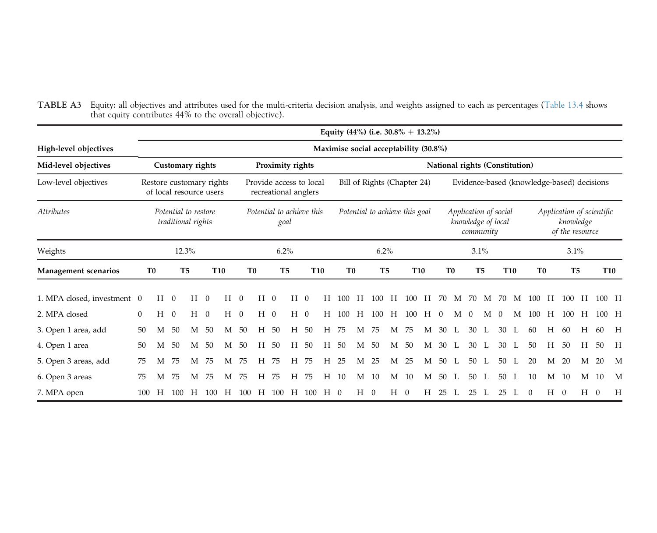|                           |                |   |                                            |                |                                                     |   |                |                |                  |   |                                                 |                 |                |         | Equity $(44\%)$ (i.e. 30.8% + 13.2%)  |                 |                |   |          |                |          |                                                          |          |                                |                |                 |                              |                |                                            |            |
|---------------------------|----------------|---|--------------------------------------------|----------------|-----------------------------------------------------|---|----------------|----------------|------------------|---|-------------------------------------------------|-----------------|----------------|---------|---------------------------------------|-----------------|----------------|---|----------|----------------|----------|----------------------------------------------------------|----------|--------------------------------|----------------|-----------------|------------------------------|----------------|--------------------------------------------|------------|
| High-level objectives     |                |   |                                            |                |                                                     |   |                |                |                  |   |                                                 |                 |                |         | Maximise social acceptability (30.8%) |                 |                |   |          |                |          |                                                          |          |                                |                |                 |                              |                |                                            |            |
| Mid-level objectives      |                |   | Customary rights                           |                |                                                     |   |                |                | Proximity rights |   |                                                 |                 |                |         |                                       |                 |                |   |          |                |          |                                                          |          | National rights (Constitution) |                |                 |                              |                |                                            |            |
| Low-level objectives      |                |   |                                            |                | Restore customary rights<br>of local resource users |   |                |                |                  |   | Provide access to local<br>recreational anglers |                 |                |         | Bill of Rights (Chapter 24)           |                 |                |   |          |                |          |                                                          |          |                                |                |                 |                              |                | Evidence-based (knowledge-based) decisions |            |
| <b>Attributes</b>         |                |   | Potential to restore<br>traditional rights |                |                                                     |   |                |                | goal             |   | Potential to achieve this                       |                 |                |         | Potential to achieve this goal        |                 |                |   |          |                |          | Application of social<br>knowledge of local<br>community |          |                                |                |                 | knowledge<br>of the resource |                | Application of scientific                  |            |
| Weights                   |                |   |                                            | 12.3%          |                                                     |   |                |                | 6.2%             |   |                                                 |                 |                |         | 6.2%                                  |                 |                |   |          |                |          | 3.1%                                                     |          |                                |                |                 |                              | 3.1%           |                                            |            |
| Management scenarios      | T <sub>0</sub> |   | T <sub>5</sub>                             |                | T <sub>10</sub>                                     |   | T <sub>0</sub> |                | T <sub>5</sub>   |   | T <sub>10</sub>                                 |                 | T <sub>0</sub> |         | T <sub>5</sub>                        |                 | <b>T10</b>     |   |          | T <sub>0</sub> |          | T <sub>5</sub>                                           |          | <b>T10</b>                     |                | T <sub>0</sub>  |                              | T <sub>5</sub> |                                            | <b>T10</b> |
| 1. MPA closed, investment | - 0            | H | $\Omega$                                   | H              | $\Omega$                                            | Н | $\theta$       | H              | $\Omega$         | H | $\overline{0}$                                  | н               | 100            | H       | 100                                   | H               | 100            | H | 70       | M              | 70       | M                                                        | 70       | M                              | 100            | H               | 100                          | H              | $100$ H                                    |            |
| 2. MPA closed             | $\overline{0}$ | H | $\Omega$                                   | H <sub>0</sub> |                                                     | H | $\overline{0}$ | H <sub>0</sub> |                  |   | H <sub>0</sub>                                  | $H_{\parallel}$ | 100            | Н       | 100                                   | H               | 100            | H | $\Omega$ | M              | $\Omega$ | M                                                        | $\Omega$ | M                              | 100            | H               | 100                          | H              | 100 H                                      |            |
| 3. Open 1 area, add       | 50             | M | 50                                         |                | M 50                                                | М | 50             | H              | 50               | H | 50                                              | $H_{\parallel}$ | 75             | M       | 75                                    | M               | 75             | M | 30       | L              | 30       | L                                                        | 30       | L                              | 60             | H               | 60                           | Н              | 60                                         | Н          |
| 4. Open 1 area            | 50             | M | 50                                         |                | M 50                                                | M | 50             | H              | 50               | H | - 50                                            |                 | H 50           | M       | - 50                                  |                 | M 50           | M | 30       | L              | 30       | L                                                        | 30       | L                              | 50             | H               | 50                           | H              | 50                                         | Н          |
| 5. Open 3 areas, add      | 75             | M | 75                                         | M              | 75                                                  | M | 75             | H              | 75               | H | 75                                              | H               | 25             | M       | 25                                    | M               | 25             | M | 50       | L              | 50       | L                                                        | 50       | L                              | 20             | M               | 20                           | M              | 20                                         | M          |
| 6. Open 3 areas           | 75             | M | 75                                         | M              | 75                                                  | М | 75             | H              | 75               | H | 75                                              | H               | 10             | M       | <sup>10</sup>                         | M               | 10             | M | 50       | L              | 50       | L                                                        | 50       | L                              | 10             | M               | 10                           | M              | 10                                         | M          |
| 7. MPA open               | 100            | H | 100                                        | Н              | 100                                                 | Н | 100            | H              | 100              | H | 100                                             | H <sub>0</sub>  |                | $H \t0$ |                                       | $H_{\parallel}$ | $\overline{0}$ | Н | 25       | L              | 25       |                                                          | 25       | L                              | $\overline{0}$ | $H_{\parallel}$ | $\overline{0}$               | H              | $\Omega$                                   | Н          |

TABLE A3 Equity: all objectives and attributes used for the multi-criteria decision analysis, and weights assigned to each as percentages ([Table](#page-12-0) 13.4 shows that equity contributes 44% to the overall objective).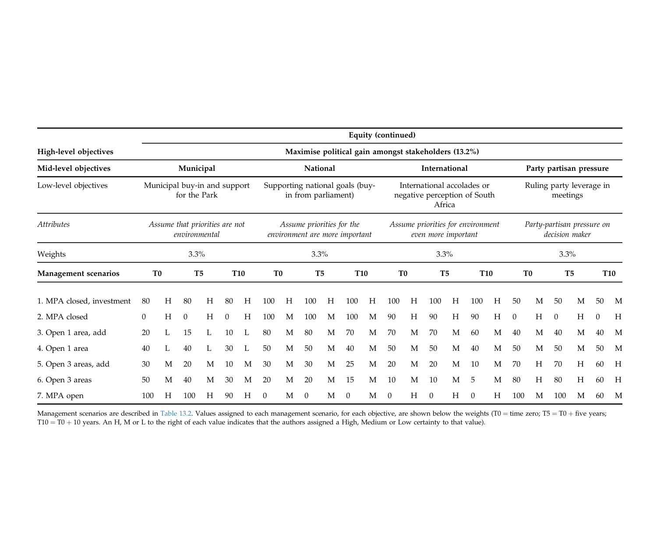|                           |                |   |                                                 |   |          |                 |                |   |                                                             |   |                 |   | Equity (continued)                                   |   |                                                                      |   |              |   |          |                |                                              |             |          |                 |
|---------------------------|----------------|---|-------------------------------------------------|---|----------|-----------------|----------------|---|-------------------------------------------------------------|---|-----------------|---|------------------------------------------------------|---|----------------------------------------------------------------------|---|--------------|---|----------|----------------|----------------------------------------------|-------------|----------|-----------------|
| High-level objectives     |                |   |                                                 |   |          |                 |                |   |                                                             |   |                 |   | Maximise political gain amongst stakeholders (13.2%) |   |                                                                      |   |              |   |          |                |                                              |             |          |                 |
| Mid-level objectives      |                |   | Municipal                                       |   |          |                 |                |   | <b>National</b>                                             |   |                 |   |                                                      |   | International                                                        |   |              |   |          |                | Party partisan pressure                      |             |          |                 |
| Low-level objectives      |                |   | Municipal buy-in and support<br>for the Park    |   |          |                 |                |   | Supporting national goals (buy-<br>in from parliament)      |   |                 |   |                                                      |   | International accolades or<br>negative perception of South<br>Africa |   |              |   |          |                | Ruling party leverage in<br>meetings         |             |          |                 |
| <b>Attributes</b>         |                |   | Assume that priorities are not<br>environmental |   |          |                 |                |   | Assume priorities for the<br>environment are more important |   |                 |   |                                                      |   | Assume priorities for environment<br>even more important             |   |              |   |          |                | Party-partisan pressure on<br>decision maker |             |          |                 |
| Weights                   |                |   | 3.3%                                            |   |          |                 |                |   | 3.3%                                                        |   |                 |   |                                                      |   | 3.3%                                                                 |   |              |   |          |                | 3.3%                                         |             |          |                 |
| Management scenarios      | T <sub>0</sub> |   | T <sub>5</sub>                                  |   |          | T <sub>10</sub> | T <sub>0</sub> |   | T <sub>5</sub>                                              |   | T <sub>10</sub> |   | T <sub>0</sub>                                       |   | T <sub>5</sub>                                                       |   | <b>T10</b>   |   |          | T <sub>0</sub> | T <sub>5</sub>                               |             |          | T <sub>10</sub> |
| 1. MPA closed, investment | 80             | Η | 80                                              | Н | 80       | H               | 100            | H | 100                                                         | Н | 100             | Н | 100                                                  | Н | 100                                                                  | Н | 100          | Н | 50       | M              | 50                                           | M           | 50       | M               |
| 2. MPA closed             | $\overline{0}$ | H | $\theta$                                        | H | $\Omega$ | H               | 100            | M | 100                                                         | M | 100             | M | 90                                                   | H | 90                                                                   | H | 90           | H | $\theta$ | H              | $\mathbf{0}$                                 | H           | $\theta$ | Н               |
| 3. Open 1 area, add       | 20             |   | 15                                              | L | 10       |                 | 80             | M | 80                                                          | M | 70              | M | 70                                                   | M | 70                                                                   | M | 60           | M | 40       | M              | 40                                           | M           | 40       | M               |
| 4. Open 1 area            | 40             |   | 40                                              | L | 30       | L               | 50             | M | 50                                                          | M | 40              | M | 50                                                   | M | 50                                                                   | M | 40           | M | 50       | M              | 50                                           | M           | 50       | M               |
| 5. Open 3 areas, add      | 30             | M | 20                                              | M | 10       | M               | 30             | M | 30                                                          | M | 25              | M | 20                                                   | M | 20                                                                   | M | 10           | M | 70       | H              | 70                                           | $H_{\rm 2}$ | 60       | H               |
| 6. Open 3 areas           | 50             | M | 40                                              | M | 30       | M               | 20             | M | 20                                                          | M | 15              | M | 10                                                   | M | 10                                                                   | M | 5            | M | 80       | H              | 80                                           | H           | 60       | H               |
| 7. MPA open               | 100            | H | 100                                             | H | 90       | H               | $\theta$       | M | $\mathbf{0}$                                                | M | $\mathbf{0}$    | M | $\theta$                                             | Н | $\theta$                                                             | Н | $\mathbf{0}$ | Н | 100      | M              | 100                                          | M           | 60       | M               |

Management scenarios are described in [Table](#page-10-0) 13.2. Values assigned to each management scenario, for each objective, are shown below the weights (T0 = time zero; T5 = T0 + five years;  $T10 = T0 + 10$  years. An H, M or L to the right of each value indicates that the authors assigned a High, Medium or Low certainty to that value).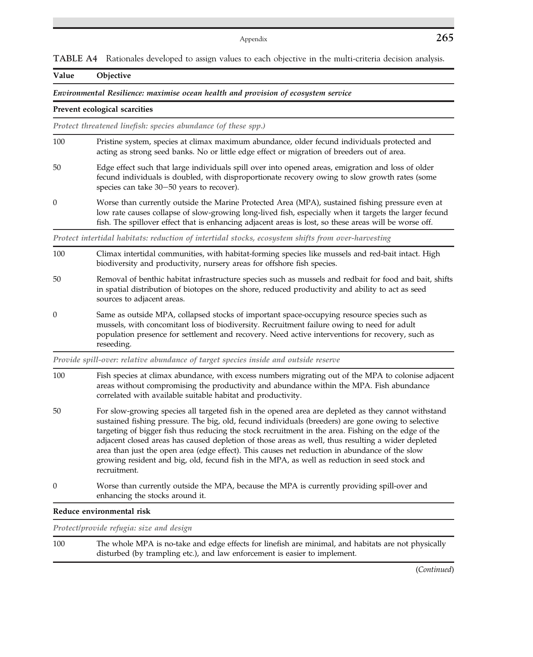## Appendix  $265$

<span id="page-28-0"></span>

|  | TABLE A4 Rationales developed to assign values to each objective in the multi-criteria decision analysis. |  |  |  |  |  |  |  |  |  |
|--|-----------------------------------------------------------------------------------------------------------|--|--|--|--|--|--|--|--|--|
|--|-----------------------------------------------------------------------------------------------------------|--|--|--|--|--|--|--|--|--|

# Value Objective Environmental Resilience: maximise ocean health and provision of ecosystem service Prevent ecological scarcities Protect threatened linefish: species abundance (of these spp.) 100 Pristine system, species at climax maximum abundance, older fecund individuals protected and acting as strong seed banks. No or little edge effect or migration of breeders out of area. 50 Edge effect such that large individuals spill over into opened areas, emigration and loss of older fecund individuals is doubled, with disproportionate recovery owing to slow growth rates (some species can take  $30-50$  years to recover). 0 Worse than currently outside the Marine Protected Area (MPA), sustained fishing pressure even at low rate causes collapse of slow-growing long-lived fish, especially when it targets the larger fecund fish. The spillover effect that is enhancing adjacent areas is lost, so these areas will be worse off. Protect intertidal habitats: reduction of intertidal stocks, ecosystem shifts from over-harvesting 100 Climax intertidal communities, with habitat-forming species like mussels and red-bait intact. High biodiversity and productivity, nursery areas for offshore fish species. 50 Removal of benthic habitat infrastructure species such as mussels and redbait for food and bait, shifts in spatial distribution of biotopes on the shore, reduced productivity and ability to act as seed sources to adjacent areas. 0 Same as outside MPA, collapsed stocks of important space-occupying resource species such as mussels, with concomitant loss of biodiversity. Recruitment failure owing to need for adult population presence for settlement and recovery. Need active interventions for recovery, such as reseeding. Provide spill-over: relative abundance of target species inside and outside reserve 100 Fish species at climax abundance, with excess numbers migrating out of the MPA to colonise adjacent areas without compromising the productivity and abundance within the MPA. Fish abundance correlated with available suitable habitat and productivity. 50 For slow-growing species all targeted fish in the opened area are depleted as they cannot withstand sustained fishing pressure. The big, old, fecund individuals (breeders) are gone owing to selective targeting of bigger fish thus reducing the stock recruitment in the area. Fishing on the edge of the adjacent closed areas has caused depletion of those areas as well, thus resulting a wider depleted area than just the open area (edge effect). This causes net reduction in abundance of the slow growing resident and big, old, fecund fish in the MPA, as well as reduction in seed stock and recruitment. 0 Worse than currently outside the MPA, because the MPA is currently providing spill-over and enhancing the stocks around it. Reduce environmental risk

Protect/provide refugia: size and design

100 The whole MPA is no-take and edge effects for linefish are minimal, and habitats are not physically disturbed (by trampling etc.), and law enforcement is easier to implement.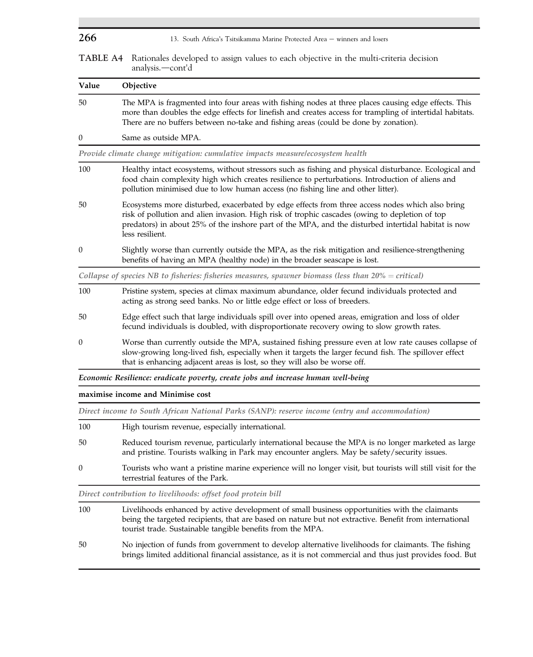| 266 | 13. South Africa's Tsitsikamma Marine Protected Area – winners and losers |  |
|-----|---------------------------------------------------------------------------|--|
|     |                                                                           |  |

TABLE A4 Rationales developed to assign values to each objective in the multi-criteria decision analysis.-cont'd

| Value            | Objective                                                                                                                                                                                                                                                                                                                   |  |  |  |  |
|------------------|-----------------------------------------------------------------------------------------------------------------------------------------------------------------------------------------------------------------------------------------------------------------------------------------------------------------------------|--|--|--|--|
| 50               | The MPA is fragmented into four areas with fishing nodes at three places causing edge effects. This<br>more than doubles the edge effects for linefish and creates access for trampling of intertidal habitats.<br>There are no buffers between no-take and fishing areas (could be done by zonation).                      |  |  |  |  |
| 0                | Same as outside MPA.                                                                                                                                                                                                                                                                                                        |  |  |  |  |
|                  | Provide climate change mitigation: cumulative impacts measurelecosystem health                                                                                                                                                                                                                                              |  |  |  |  |
| 100              | Healthy intact ecosystems, without stressors such as fishing and physical disturbance. Ecological and<br>food chain complexity high which creates resilience to perturbations. Introduction of aliens and<br>pollution minimised due to low human access (no fishing line and other litter).                                |  |  |  |  |
| 50               | Ecosystems more disturbed, exacerbated by edge effects from three access nodes which also bring<br>risk of pollution and alien invasion. High risk of trophic cascades (owing to depletion of top<br>predators) in about 25% of the inshore part of the MPA, and the disturbed intertidal habitat is now<br>less resilient. |  |  |  |  |
| $\boldsymbol{0}$ | Slightly worse than currently outside the MPA, as the risk mitigation and resilience-strengthening<br>benefits of having an MPA (healthy node) in the broader seascape is lost.                                                                                                                                             |  |  |  |  |
|                  | Collapse of species NB to fisheries: fisheries measures, spawner biomass (less than $20\%$ = critical)                                                                                                                                                                                                                      |  |  |  |  |
| 100              | Pristine system, species at climax maximum abundance, older fecund individuals protected and<br>acting as strong seed banks. No or little edge effect or loss of breeders.                                                                                                                                                  |  |  |  |  |
| 50               | Edge effect such that large individuals spill over into opened areas, emigration and loss of older<br>fecund individuals is doubled, with disproportionate recovery owing to slow growth rates.                                                                                                                             |  |  |  |  |
| $\boldsymbol{0}$ | Worse than currently outside the MPA, sustained fishing pressure even at low rate causes collapse of<br>slow-growing long-lived fish, especially when it targets the larger fecund fish. The spillover effect<br>that is enhancing adjacent areas is lost, so they will also be worse off.                                  |  |  |  |  |
|                  | Economic Resilience: eradicate poverty, create jobs and increase human well-being                                                                                                                                                                                                                                           |  |  |  |  |
|                  | maximise income and Minimise cost                                                                                                                                                                                                                                                                                           |  |  |  |  |
|                  | Direct income to South African National Parks (SANP): reserve income (entry and accommodation)                                                                                                                                                                                                                              |  |  |  |  |
| 100              | High tourism revenue, especially international.                                                                                                                                                                                                                                                                             |  |  |  |  |
| 50               | Reduced tourism revenue, particularly international because the MPA is no longer marketed as large<br>and pristine. Tourists walking in Park may encounter anglers. May be safety/security issues.                                                                                                                          |  |  |  |  |
| 0                | Tourists who want a pristine marine experience will no longer visit, but tourists will still visit for the<br>terrestrial features of the Park.                                                                                                                                                                             |  |  |  |  |
|                  | Direct contribution to livelihoods: offset food protein bill                                                                                                                                                                                                                                                                |  |  |  |  |
| 100              | Livelihoods enhanced by active development of small business opportunities with the claimants<br>being the targeted recipients, that are based on nature but not extractive. Benefit from international<br>tourist trade. Sustainable tangible benefits from the MPA.                                                       |  |  |  |  |
| 50               | No injection of funds from government to develop alternative livelihoods for claimants. The fishing<br>brings limited additional financial assistance, as it is not commercial and thus just provides food. But                                                                                                             |  |  |  |  |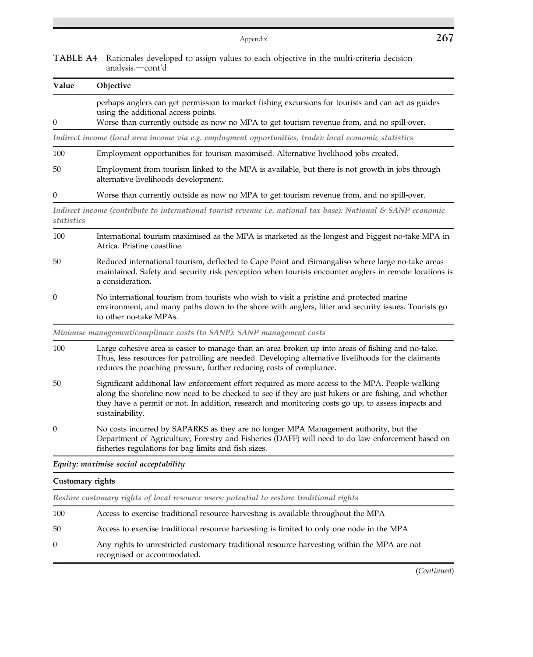TABLE A4 Rationales developed to assign values to each objective in the multi-criteria decision analysis.-cont'd

| Value            | Objective                                                                                                                                                                                                                                                                                                                          |  |  |  |
|------------------|------------------------------------------------------------------------------------------------------------------------------------------------------------------------------------------------------------------------------------------------------------------------------------------------------------------------------------|--|--|--|
| $\boldsymbol{0}$ | perhaps anglers can get permission to market fishing excursions for tourists and can act as guides<br>using the additional access points.<br>Worse than currently outside as now no MPA to get tourism revenue from, and no spill-over.                                                                                            |  |  |  |
|                  | Indirect income (local area income via e.g. employment opportunities, trade): local economic statistics                                                                                                                                                                                                                            |  |  |  |
| 100              | Employment opportunities for tourism maximised. Alternative livelihood jobs created.                                                                                                                                                                                                                                               |  |  |  |
| 50               | Employment from tourism linked to the MPA is available, but there is not growth in jobs through<br>alternative livelihoods development.                                                                                                                                                                                            |  |  |  |
| $\boldsymbol{0}$ | Worse than currently outside as now no MPA to get tourism revenue from, and no spill-over.                                                                                                                                                                                                                                         |  |  |  |
| statistics       | Indirect income (contribute to international tourist revenue i.e. national tax base): National & SANP economic                                                                                                                                                                                                                     |  |  |  |
| 100              | International tourism maximised as the MPA is marketed as the longest and biggest no-take MPA in<br>Africa. Pristine coastline.                                                                                                                                                                                                    |  |  |  |
| 50               | Reduced international tourism, deflected to Cape Point and iSimangaliso where large no-take areas<br>maintained. Safety and security risk perception when tourists encounter anglers in remote locations is<br>a consideration.                                                                                                    |  |  |  |
| 0                | No international tourism from tourists who wish to visit a pristine and protected marine<br>environment, and many paths down to the shore with anglers, litter and security issues. Tourists go<br>to other no-take MPAs.                                                                                                          |  |  |  |
|                  | Minimise management/compliance costs (to SANP): SANP management costs                                                                                                                                                                                                                                                              |  |  |  |
| 100              | Large cohesive area is easier to manage than an area broken up into areas of fishing and no-take.<br>Thus, less resources for patrolling are needed. Developing alternative livelihoods for the claimants<br>reduces the poaching pressure, further reducing costs of compliance.                                                  |  |  |  |
| 50               | Significant additional law enforcement effort required as more access to the MPA. People walking<br>along the shoreline now need to be checked to see if they are just hikers or are fishing, and whether<br>they have a permit or not. In addition, research and monitoring costs go up, to assess impacts and<br>sustainability. |  |  |  |
| $\mathbf{0}$     | No costs incurred by SAPARKS as they are no longer MPA Management authority, but the<br>Department of Agriculture, Forestry and Fisheries (DAFF) will need to do law enforcement based on<br>fisheries regulations for bag limits and fish sizes.                                                                                  |  |  |  |
|                  | Equity: maximise social acceptability                                                                                                                                                                                                                                                                                              |  |  |  |
|                  | Customary rights                                                                                                                                                                                                                                                                                                                   |  |  |  |
|                  | Restore customary rights of local resource users: potential to restore traditional rights                                                                                                                                                                                                                                          |  |  |  |
| 100              | Access to exercise traditional resource harvesting is available throughout the MPA                                                                                                                                                                                                                                                 |  |  |  |
| 50               | Access to exercise traditional resource harvesting is limited to only one node in the MPA                                                                                                                                                                                                                                          |  |  |  |

0 Any rights to unrestricted customary traditional resource harvesting within the MPA are not recognised or accommodated.

(Continued)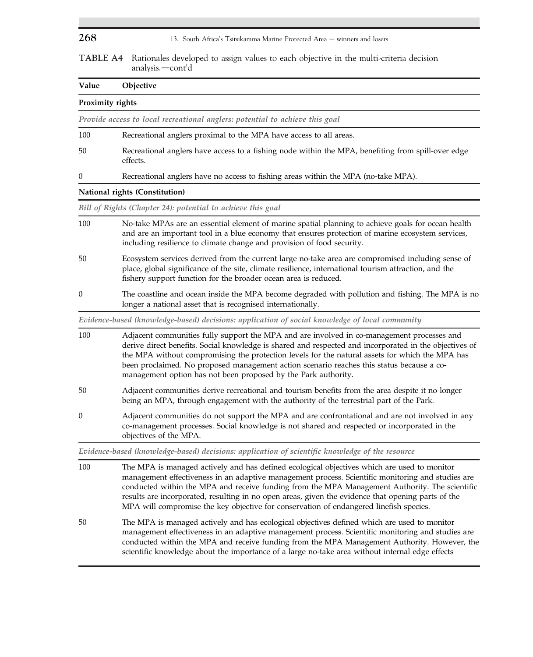TABLE A4 Rationales developed to assign values to each objective in the multi-criteria decision analysis.-cont'd

| Value            | Objective                                                                                                                                                                                                                                                                                                                                                                                                                                                                                          |  |  |  |
|------------------|----------------------------------------------------------------------------------------------------------------------------------------------------------------------------------------------------------------------------------------------------------------------------------------------------------------------------------------------------------------------------------------------------------------------------------------------------------------------------------------------------|--|--|--|
| Proximity rights |                                                                                                                                                                                                                                                                                                                                                                                                                                                                                                    |  |  |  |
|                  | Provide access to local recreational anglers: potential to achieve this goal                                                                                                                                                                                                                                                                                                                                                                                                                       |  |  |  |
| 100              | Recreational anglers proximal to the MPA have access to all areas.                                                                                                                                                                                                                                                                                                                                                                                                                                 |  |  |  |
| 50               | Recreational anglers have access to a fishing node within the MPA, benefiting from spill-over edge<br>effects.                                                                                                                                                                                                                                                                                                                                                                                     |  |  |  |
| 0                | Recreational anglers have no access to fishing areas within the MPA (no-take MPA).                                                                                                                                                                                                                                                                                                                                                                                                                 |  |  |  |
|                  | National rights (Constitution)                                                                                                                                                                                                                                                                                                                                                                                                                                                                     |  |  |  |
|                  | Bill of Rights (Chapter 24): potential to achieve this goal                                                                                                                                                                                                                                                                                                                                                                                                                                        |  |  |  |
| 100              | No-take MPAs are an essential element of marine spatial planning to achieve goals for ocean health<br>and are an important tool in a blue economy that ensures protection of marine ecosystem services,<br>including resilience to climate change and provision of food security.                                                                                                                                                                                                                  |  |  |  |
| 50               | Ecosystem services derived from the current large no-take area are compromised including sense of<br>place, global significance of the site, climate resilience, international tourism attraction, and the<br>fishery support function for the broader ocean area is reduced.                                                                                                                                                                                                                      |  |  |  |
| 0                | The coastline and ocean inside the MPA become degraded with pollution and fishing. The MPA is no<br>longer a national asset that is recognised internationally.                                                                                                                                                                                                                                                                                                                                    |  |  |  |
|                  | Evidence-based (knowledge-based) decisions: application of social knowledge of local community                                                                                                                                                                                                                                                                                                                                                                                                     |  |  |  |
| 100              | Adjacent communities fully support the MPA and are involved in co-management processes and<br>derive direct benefits. Social knowledge is shared and respected and incorporated in the objectives of<br>the MPA without compromising the protection levels for the natural assets for which the MPA has<br>been proclaimed. No proposed management action scenario reaches this status because a co-<br>management option has not been proposed by the Park authority.                             |  |  |  |
| 50               | Adjacent communities derive recreational and tourism benefits from the area despite it no longer<br>being an MPA, through engagement with the authority of the terrestrial part of the Park.                                                                                                                                                                                                                                                                                                       |  |  |  |
| 0                | Adjacent communities do not support the MPA and are confrontational and are not involved in any<br>co-management processes. Social knowledge is not shared and respected or incorporated in the<br>objectives of the MPA.                                                                                                                                                                                                                                                                          |  |  |  |
|                  | Evidence-based (knowledge-based) decisions: application of scientific knowledge of the resource                                                                                                                                                                                                                                                                                                                                                                                                    |  |  |  |
| 100              | The MPA is managed actively and has defined ecological objectives which are used to monitor<br>management effectiveness in an adaptive management process. Scientific monitoring and studies are<br>conducted within the MPA and receive funding from the MPA Management Authority. The scientific<br>results are incorporated, resulting in no open areas, given the evidence that opening parts of the<br>MPA will compromise the key objective for conservation of endangered linefish species. |  |  |  |
| 50               | The MPA is managed actively and has ecological objectives defined which are used to monitor<br>management effectiveness in an adaptive management process. Scientific monitoring and studies are<br>conducted within the MPA and receive funding from the MPA Management Authority. However, the<br>scientific knowledge about the importance of a large no-take area without internal edge effects                                                                                                |  |  |  |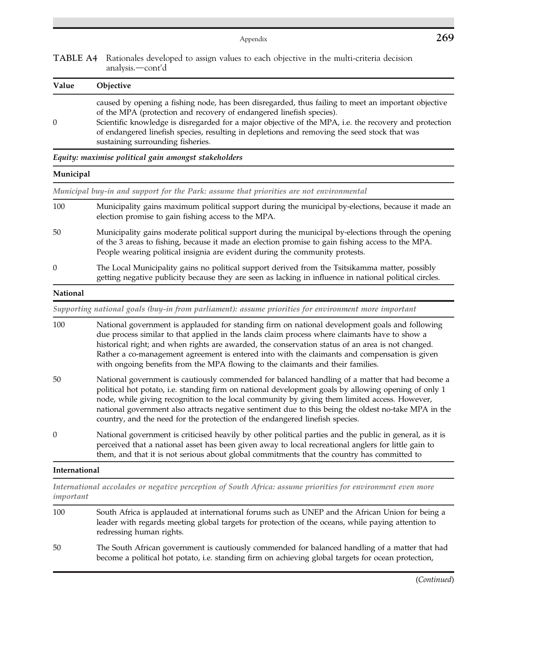TABLE A4 Rationales developed to assign values to each objective in the multi-criteria decision analysis.—cont'd

| Value    | <b>Objective</b>                                                                                                                                                                                                                                                                                                                                                                                                           |
|----------|----------------------------------------------------------------------------------------------------------------------------------------------------------------------------------------------------------------------------------------------------------------------------------------------------------------------------------------------------------------------------------------------------------------------------|
| $\Omega$ | caused by opening a fishing node, has been disregarded, thus failing to meet an important objective<br>of the MPA (protection and recovery of endangered linefish species).<br>Scientific knowledge is disregarded for a major objective of the MPA, i.e. the recovery and protection<br>of endangered linefish species, resulting in depletions and removing the seed stock that was<br>sustaining surrounding fisheries. |

Equity: maximise political gain amongst stakeholders

| Municipal |  |  |
|-----------|--|--|
|           |  |  |
|           |  |  |

Municipal buy-in and support for the Park: assume that priorities are not environmental

- 100 Municipality gains maximum political support during the municipal by-elections, because it made an election promise to gain fishing access to the MPA.
- 50 Municipality gains moderate political support during the municipal by-elections through the opening of the 3 areas to fishing, because it made an election promise to gain fishing access to the MPA. People wearing political insignia are evident during the community protests.
- 0 The Local Municipality gains no political support derived from the Tsitsikamma matter, possibly getting negative publicity because they are seen as lacking in influence in national political circles.

#### National

Supporting national goals (buy-in from parliament): assume priorities for environment more important

- 100 National government is applauded for standing firm on national development goals and following due process similar to that applied in the lands claim process where claimants have to show a historical right; and when rights are awarded, the conservation status of an area is not changed. Rather a co-management agreement is entered into with the claimants and compensation is given with ongoing benefits from the MPA flowing to the claimants and their families.
- 50 National government is cautiously commended for balanced handling of a matter that had become a political hot potato, i.e. standing firm on national development goals by allowing opening of only 1 node, while giving recognition to the local community by giving them limited access. However, national government also attracts negative sentiment due to this being the oldest no-take MPA in the country, and the need for the protection of the endangered linefish species.
- 0 National government is criticised heavily by other political parties and the public in general, as it is perceived that a national asset has been given away to local recreational anglers for little gain to them, and that it is not serious about global commitments that the country has committed to

#### International

International accolades or negative perception of South Africa: assume priorities for environment even more important

- 100 South Africa is applauded at international forums such as UNEP and the African Union for being a leader with regards meeting global targets for protection of the oceans, while paying attention to redressing human rights.
- 50 The South African government is cautiously commended for balanced handling of a matter that had become a political hot potato, i.e. standing firm on achieving global targets for ocean protection,

(Continued)